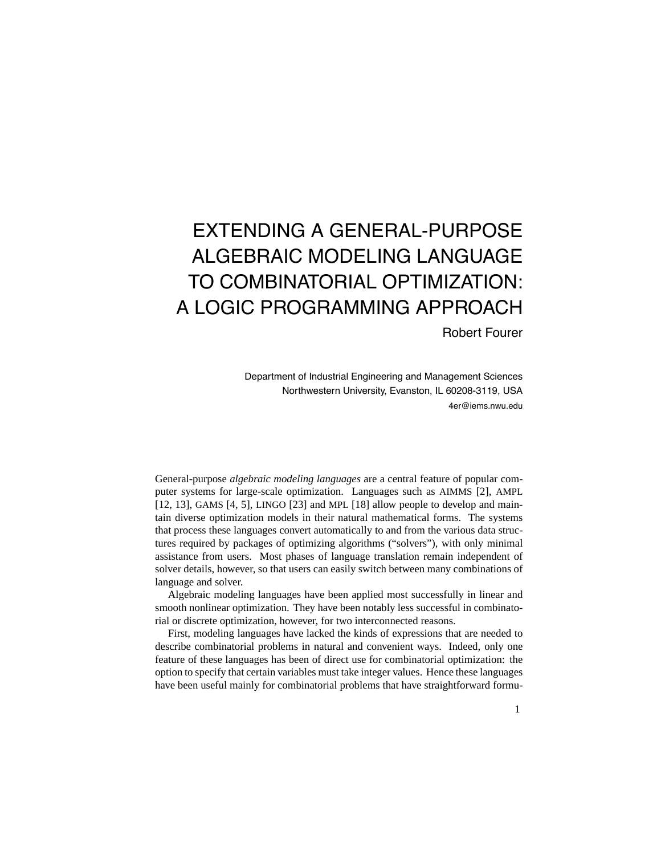# EXTENDING A GENERAL-PURPOSE ALGEBRAIC MODELING LANGUAGE TO COMBINATORIAL OPTIMIZATION: A LOGIC PROGRAMMING APPROACH

Robert Fourer

Department of Industrial Engineering and Management Sciences Northwestern University, Evanston, IL 60208-3119, USA 4er@iems.nwu.edu

General-purpose *algebraic modeling languages* are a central feature of popular computer systems for large-scale optimization. Languages such as AIMMS [2], AMPL [12, 13], GAMS [4, 5], LINGO [23] and MPL [18] allow people to develop and maintain diverse optimization models in their natural mathematical forms. The systems that process these languages convert automatically to and from the various data structures required by packages of optimizing algorithms ("solvers"), with only minimal assistance from users. Most phases of language translation remain independent of solver details, however, so that users can easily switch between many combinations of language and solver.

Algebraic modeling languages have been applied most successfully in linear and smooth nonlinear optimization. They have been notably less successful in combinatorial or discrete optimization, however, for two interconnected reasons.

First, modeling languages have lacked the kinds of expressions that are needed to describe combinatorial problems in natural and convenient ways. Indeed, only one feature of these languages has been of direct use for combinatorial optimization: the option to specify that certain variables must take integer values. Hence these languages have been useful mainly for combinatorial problems that have straightforward formu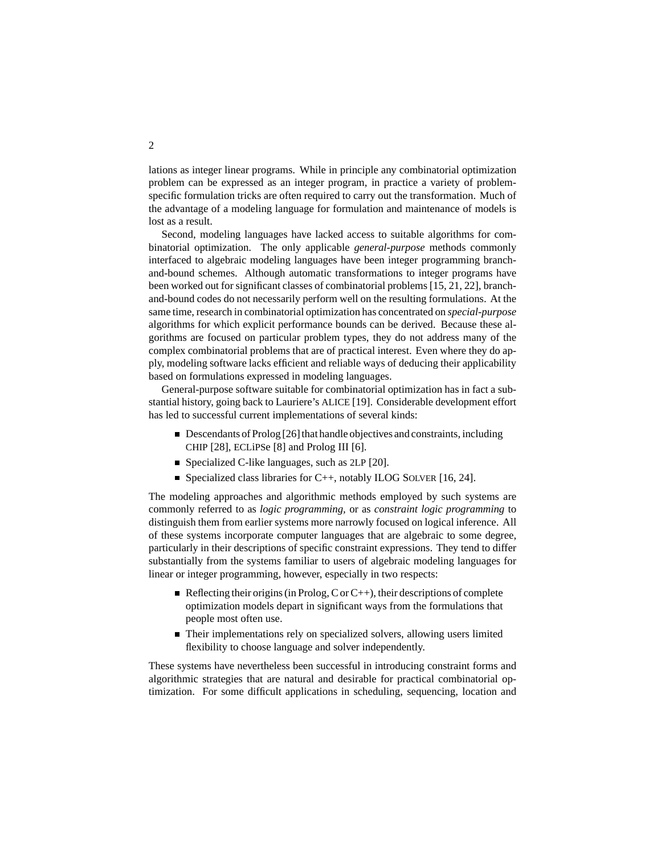lations as integer linear programs. While in principle any combinatorial optimization problem can be expressed as an integer program, in practice a variety of problemspecific formulation tricks are often required to carry out the transformation. Much of the advantage of a modeling language for formulation and maintenance of models is lost as a result.

Second, modeling languages have lacked access to suitable algorithms for combinatorial optimization. The only applicable *general-purpose* methods commonly interfaced to algebraic modeling languages have been integer programming branchand-bound schemes. Although automatic transformations to integer programs have been worked out for significant classes of combinatorial problems [15, 21, 22], branchand-bound codes do not necessarily perform well on the resulting formulations. At the same time, research in combinatorial optimization has concentrated on *special-purpose* algorithms for which explicit performance bounds can be derived. Because these algorithms are focused on particular problem types, they do not address many of the complex combinatorial problems that are of practical interest. Even where they do apply, modeling software lacks efficient and reliable ways of deducing their applicability based on formulations expressed in modeling languages.

General-purpose software suitable for combinatorial optimization has in fact a substantial history, going back to Lauriere's ALICE [19]. Considerable development effort has led to successful current implementations of several kinds:

- $\blacksquare$  Descendants of Prolog [26] that handle objectives and constraints, including CHIP [28], ECLiPSe [8] and Prolog III [6].
- Specialized C-like languages, such as 2LP [20].
- Specialized class libraries for C++, notably ILOG SOLVER [16, 24].

The modeling approaches and algorithmic methods employed by such systems are commonly referred to as *logic programming,* or as *constraint logic programming* to distinguish them from earlier systems more narrowly focused on logical inference. All of these systems incorporate computer languages that are algebraic to some degree, particularly in their descriptions of specific constraint expressions. They tend to differ substantially from the systems familiar to users of algebraic modeling languages for linear or integer programming, however, especially in two respects:

- Reflecting their origins (in Prolog, C or C++), their descriptions of complete optimization models depart in significant ways from the formulations that people most often use.
- Their implementations rely on specialized solvers, allowing users limited flexibility to choose language and solver independently.

These systems have nevertheless been successful in introducing constraint forms and algorithmic strategies that are natural and desirable for practical combinatorial optimization. For some difficult applications in scheduling, sequencing, location and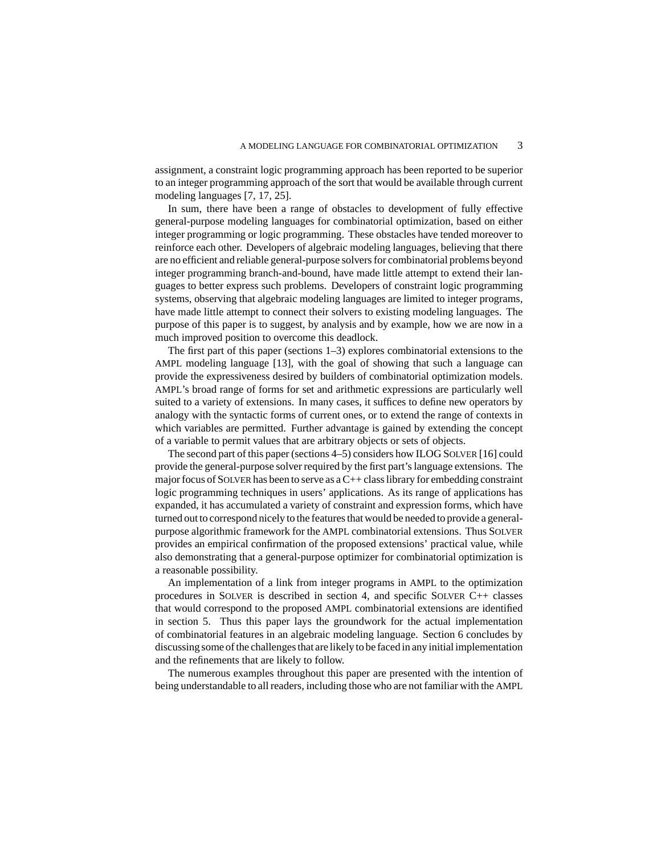assignment, a constraint logic programming approach has been reported to be superior to an integer programming approach of the sort that would be available through current modeling languages [7, 17, 25].

In sum, there have been a range of obstacles to development of fully effective general-purpose modeling languages for combinatorial optimization, based on either integer programming or logic programming. These obstacles have tended moreover to reinforce each other. Developers of algebraic modeling languages, believing that there are no efficient and reliable general-purpose solvers for combinatorial problems beyond integer programming branch-and-bound, have made little attempt to extend their languages to better express such problems. Developers of constraint logic programming systems, observing that algebraic modeling languages are limited to integer programs, have made little attempt to connect their solvers to existing modeling languages. The purpose of this paper is to suggest, by analysis and by example, how we are now in a much improved position to overcome this deadlock.

The first part of this paper (sections 1–3) explores combinatorial extensions to the AMPL modeling language [13], with the goal of showing that such a language can provide the expressiveness desired by builders of combinatorial optimization models. AMPL's broad range of forms for set and arithmetic expressions are particularly well suited to a variety of extensions. In many cases, it suffices to define new operators by analogy with the syntactic forms of current ones, or to extend the range of contexts in which variables are permitted. Further advantage is gained by extending the concept of a variable to permit values that are arbitrary objects or sets of objects.

The second part of this paper (sections 4–5) considers how ILOG SOLVER [16] could provide the general-purpose solver required by the first part's language extensions. The major focus of SOLVER has been to serve as a C++ class library for embedding constraint logic programming techniques in users' applications. As its range of applications has expanded, it has accumulated a variety of constraint and expression forms, which have turned out to correspond nicely to the features that would be needed to provide a generalpurpose algorithmic framework for the AMPL combinatorial extensions. Thus SOLVER provides an empirical confirmation of the proposed extensions' practical value, while also demonstrating that a general-purpose optimizer for combinatorial optimization is a reasonable possibility.

An implementation of a link from integer programs in AMPL to the optimization procedures in SOLVER is described in section 4, and specific SOLVER C++ classes that would correspond to the proposed AMPL combinatorial extensions are identified in section 5. Thus this paper lays the groundwork for the actual implementation of combinatorial features in an algebraic modeling language. Section 6 concludes by discussing some of the challenges that are likely to be faced in any initial implementation and the refinements that are likely to follow.

The numerous examples throughout this paper are presented with the intention of being understandable to all readers, including those who are not familiar with the AMPL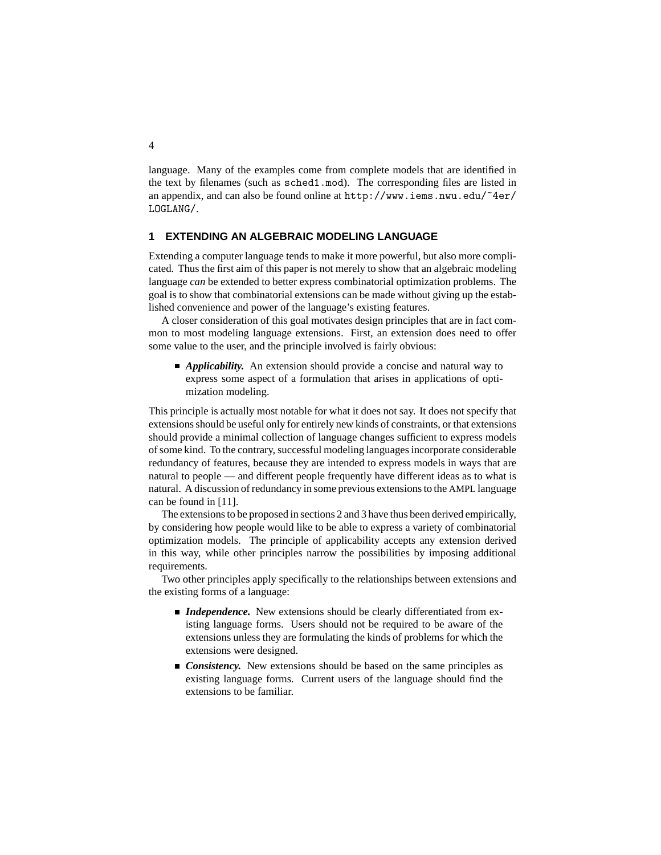language. Many of the examples come from complete models that are identified in the text by filenames (such as sched1.mod). The corresponding files are listed in an appendix, and can also be found online at http://www.iems.nwu.edu/~4er/ LOGLANG/.

## **1 EXTENDING AN ALGEBRAIC MODELING LANGUAGE**

Extending a computer language tends to make it more powerful, but also more complicated. Thus the first aim of this paper is not merely to show that an algebraic modeling language *can* be extended to better express combinatorial optimization problems. The goal is to show that combinatorial extensions can be made without giving up the established convenience and power of the language's existing features.

A closer consideration of this goal motivates design principles that are in fact common to most modeling language extensions. First, an extension does need to offer some value to the user, and the principle involved is fairly obvious:

*Applicability.* An extension should provide a concise and natural way to express some aspect of a formulation that arises in applications of optimization modeling.

This principle is actually most notable for what it does not say. It does not specify that extensions should be useful only for entirely new kinds of constraints, or that extensions should provide a minimal collection of language changes sufficient to express models of some kind. To the contrary, successful modeling languages incorporate considerable redundancy of features, because they are intended to express models in ways that are natural to people — and different people frequently have different ideas as to what is natural. A discussion of redundancy in some previous extensions to the AMPL language can be found in [11].

The extensions to be proposed in sections 2 and 3 have thus been derived empirically, by considering how people would like to be able to express a variety of combinatorial optimization models. The principle of applicability accepts any extension derived in this way, while other principles narrow the possibilities by imposing additional requirements.

Two other principles apply specifically to the relationships between extensions and the existing forms of a language:

- *Independence*. New extensions should be clearly differentiated from existing language forms. Users should not be required to be aware of the extensions unless they are formulating the kinds of problems for which the extensions were designed.
- *Consistency*. New extensions should be based on the same principles as existing language forms. Current users of the language should find the extensions to be familiar.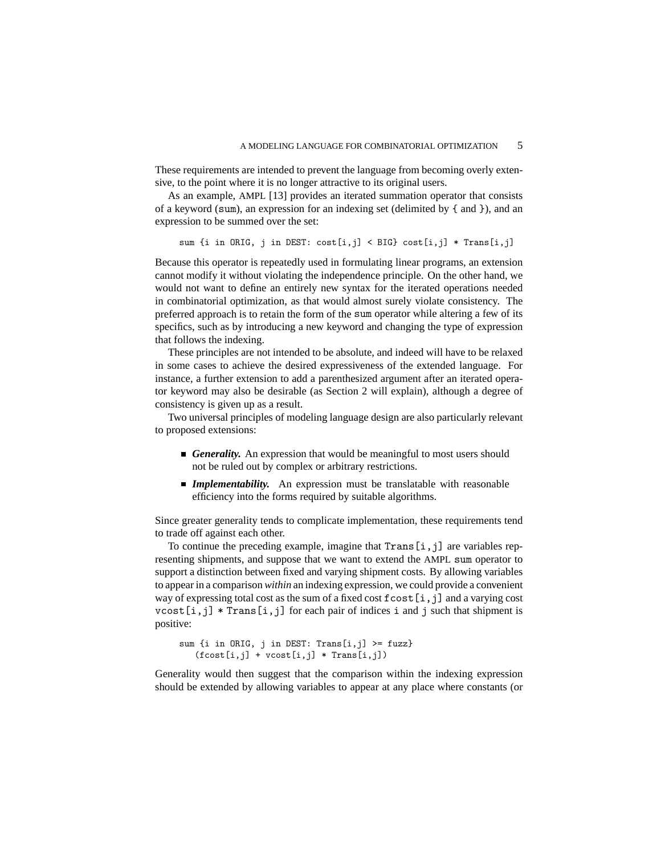These requirements are intended to prevent the language from becoming overly extensive, to the point where it is no longer attractive to its original users.

As an example, AMPL [13] provides an iterated summation operator that consists of a keyword (sum), an expression for an indexing set (delimited by  $\{$  and  $\}$ ), and an expression to be summed over the set:

```
sum {i in ORIG, j in DEST: cost[i,j] < BIG} cost[i,j] * Trans[i,j]
```
Because this operator is repeatedly used in formulating linear programs, an extension cannot modify it without violating the independence principle. On the other hand, we would not want to define an entirely new syntax for the iterated operations needed in combinatorial optimization, as that would almost surely violate consistency. The preferred approach is to retain the form of the sum operator while altering a few of its specifics, such as by introducing a new keyword and changing the type of expression that follows the indexing.

These principles are not intended to be absolute, and indeed will have to be relaxed in some cases to achieve the desired expressiveness of the extended language. For instance, a further extension to add a parenthesized argument after an iterated operator keyword may also be desirable (as Section 2 will explain), although a degree of consistency is given up as a result.

Two universal principles of modeling language design are also particularly relevant to proposed extensions:

- *Generality*. An expression that would be meaningful to most users should not be ruled out by complex or arbitrary restrictions.
- **Implementability.** An expression must be translatable with reasonable efficiency into the forms required by suitable algorithms.

Since greater generality tends to complicate implementation, these requirements tend to trade off against each other.

To continue the preceding example, imagine that  $Trans[i,j]$  are variables representing shipments, and suppose that we want to extend the AMPL sum operator to support a distinction between fixed and varying shipment costs. By allowing variables to appear in a comparison *within* an indexing expression, we could provide a convenient way of expressing total cost as the sum of a fixed cost  $[i, j]$  and a varying cost  $vcost[i,j] * Trans[i,j]$  for each pair of indices i and j such that shipment is positive:

```
sum {i in ORIG, j in DEST: Trans[i,j] > = fuzzy(fcost[i,j] + vcost[i,j] * Trans[i,j])
```
Generality would then suggest that the comparison within the indexing expression should be extended by allowing variables to appear at any place where constants (or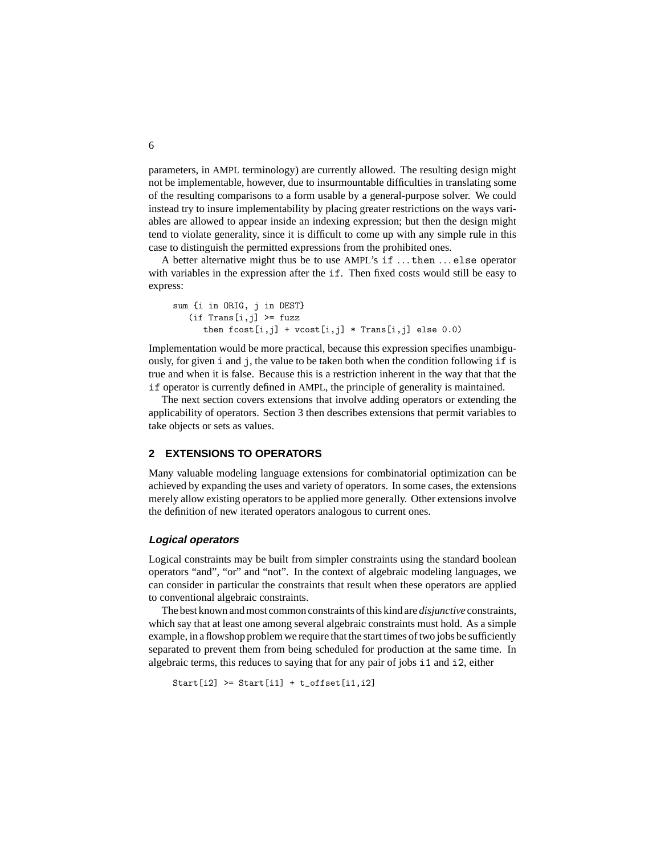parameters, in AMPL terminology) are currently allowed. The resulting design might not be implementable, however, due to insurmountable difficulties in translating some of the resulting comparisons to a form usable by a general-purpose solver. We could instead try to insure implementability by placing greater restrictions on the ways variables are allowed to appear inside an indexing expression; but then the design might tend to violate generality, since it is difficult to come up with any simple rule in this case to distinguish the permitted expressions from the prohibited ones.

A better alternative might thus be to use AMPL's if ... then ... else operator with variables in the expression after the if. Then fixed costs would still be easy to express:

```
sum {i in ORIG, j in DEST}
   (if Trans[i,j] \geq fuzzthen fcost[i,j] + vcost[i,j] * Trans[i,j] else 0.0)
```
Implementation would be more practical, because this expression specifies unambiguously, for given i and j, the value to be taken both when the condition following if is true and when it is false. Because this is a restriction inherent in the way that that the if operator is currently defined in AMPL, the principle of generality is maintained.

The next section covers extensions that involve adding operators or extending the applicability of operators. Section 3 then describes extensions that permit variables to take objects or sets as values.

# **2 EXTENSIONS TO OPERATORS**

Many valuable modeling language extensions for combinatorial optimization can be achieved by expanding the uses and variety of operators. In some cases, the extensions merely allow existing operators to be applied more generally. Other extensions involve the definition of new iterated operators analogous to current ones.

# **Logical operators**

Logical constraints may be built from simpler constraints using the standard boolean operators "and", "or" and "not". In the context of algebraic modeling languages, we can consider in particular the constraints that result when these operators are applied to conventional algebraic constraints.

The best known and most common constraints of this kind are *disjunctive* constraints, which say that at least one among several algebraic constraints must hold. As a simple example, in a flowshop problem we require that the start times of two jobs be sufficiently separated to prevent them from being scheduled for production at the same time. In algebraic terms, this reduces to saying that for any pair of jobs i1 and i2, either

 $Start[i2] \geq Start[i1] + t_offset[i1,i2]$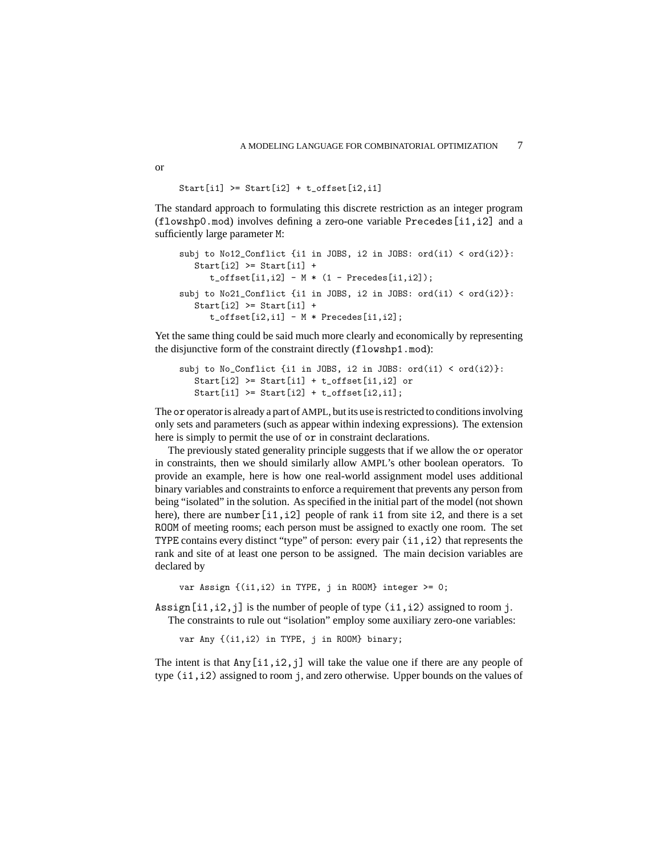or

Start $[i1]$  >= Start $[i2]$  + t\_offset $[i2, i1]$ 

The standard approach to formulating this discrete restriction as an integer program (flowshp0.mod) involves defining a zero-one variable Precedes[i1,i2] and a sufficiently large parameter M:

```
subj to No12_Conflict {i1 in JOBS, i2 in JOBS: ord(i1) < ord(i2) }:
   Start[i2] \geq Start[i1] +t_{offset[i1,i2]} - M * (1 - Precedes[i1,i2]);subj to No21 Conflict {i1 in JOBS, i2 in JOBS: ord(i1) < ord(i2)}:
   Start[i2] >= Start[i1] +t_{offset}[i2,i1] - M * Precedes[i1,i2];
```
Yet the same thing could be said much more clearly and economically by representing the disjunctive form of the constraint directly (flowshp1.mod):

```
subj to No_Conflict {i1 in JOBS, i2 in JOBS: ord(i1) < ord(i2)}:
  Start[i2] >= Start[i1] + t_offset[i1, i2] or
  Start[i1] >= Start[i2] + t_offset[i2, i1];
```
The or operator is already a part of AMPL, but its use is restricted to conditions involving only sets and parameters (such as appear within indexing expressions). The extension here is simply to permit the use of or in constraint declarations.

The previously stated generality principle suggests that if we allow the or operator in constraints, then we should similarly allow AMPL's other boolean operators. To provide an example, here is how one real-world assignment model uses additional binary variables and constraints to enforce a requirement that prevents any person from being "isolated" in the solution. As specified in the initial part of the model (not shown here), there are number [i1,i2] people of rank i1 from site i2, and there is a set ROOM of meeting rooms; each person must be assigned to exactly one room. The set TYPE contains every distinct "type" of person: every pair  $(i1, i2)$  that represents the rank and site of at least one person to be assigned. The main decision variables are declared by

var Assign  $\{(i1,i2)$  in TYPE, j in ROOM} integer >= 0;

Assign  $[i1,i2,j]$  is the number of people of type  $(i1,i2)$  assigned to room j. The constraints to rule out "isolation" employ some auxiliary zero-one variables:

var Any {(i1,i2) in TYPE, j in ROOM} binary;

The intent is that  $Any[i1,i2,j]$  will take the value one if there are any people of type (i1, i2) assigned to room j, and zero otherwise. Upper bounds on the values of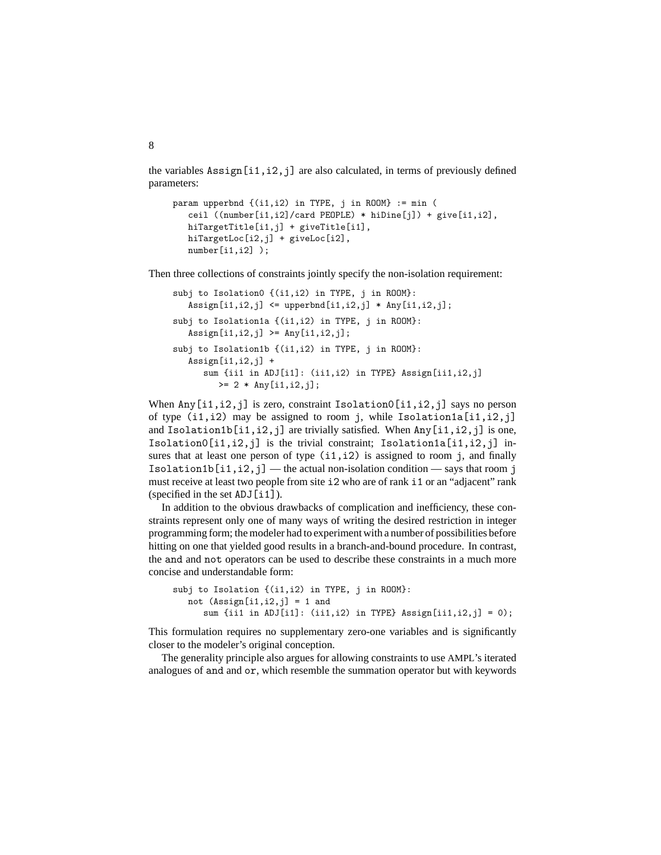the variables Assign[i1,i2,j] are also calculated, in terms of previously defined parameters:

```
param upperbnd {(i1,i2) in TYPE, j in ROOM} := min (
   ceil ((number[i1,i2]/card PEOPLE) * hiDine[j]) + give[i1,i2],
   hiTargetTitle[i1,j] + giveTitle[i1],
   hiTargetLoc[i2,j] + giveLoc[i2],
   number[i1,i2] );
```
Then three collections of constraints jointly specify the non-isolation requirement:

```
subj to Isolation0 {(i1,i2) in TYPE, j in ROOM}:
   \text{Assign}[i1,i2,j] \leq \text{upperbnd}[i1,i2,j] * \text{Any}[i1,i2,j];subj to Isolation1a {(i1,i2) in TYPE, j in ROOM}:
   Assign[i1, i2, j] \geq Any[i1, i2, j];subj to Isolation1b {(i1,i2) in TYPE, j in ROOM}:
   Assign[i1,i2,j] +
      sum {ii1 in ADJ[i1]: (ii1,i2) in TYPE} Assign[ii1,i2,j]
         >= 2 * Any[i1, i2, j];
```
When Any  $[i1,i2,j]$  is zero, constraint Isolation0 $[i1,i2,j]$  says no person of type (i1,i2) may be assigned to room j, while Isolation1a[i1,i2,j] and Isolation1b[i1,i2,j] are trivially satisfied. When Any[i1,i2,j] is one, Isolation0[i1,i2,j] is the trivial constraint; Isolation1a[i1,i2,j] insures that at least one person of type  $(i1,i2)$  is assigned to room j, and finally  $Isolation1b[i1,i2,j]$  — the actual non-isolation condition — says that room j must receive at least two people from site i2 who are of rank i1 or an "adjacent" rank (specified in the set ADJ[i1]).

In addition to the obvious drawbacks of complication and inefficiency, these constraints represent only one of many ways of writing the desired restriction in integer programming form; the modeler had to experiment with a number of possibilities before hitting on one that yielded good results in a branch-and-bound procedure. In contrast, the and and not operators can be used to describe these constraints in a much more concise and understandable form:

```
subj to Isolation {(i1,i2) in TYPE, j in ROOM}:
  not (Assign[i1,i2,j] = 1 and
      sum \{ii1 in ADJ[i1]: (ii1, i2) in TYPE} Assign[iii, i2, j] = 0);
```
This formulation requires no supplementary zero-one variables and is significantly closer to the modeler's original conception.

The generality principle also argues for allowing constraints to use AMPL's iterated analogues of and and or, which resemble the summation operator but with keywords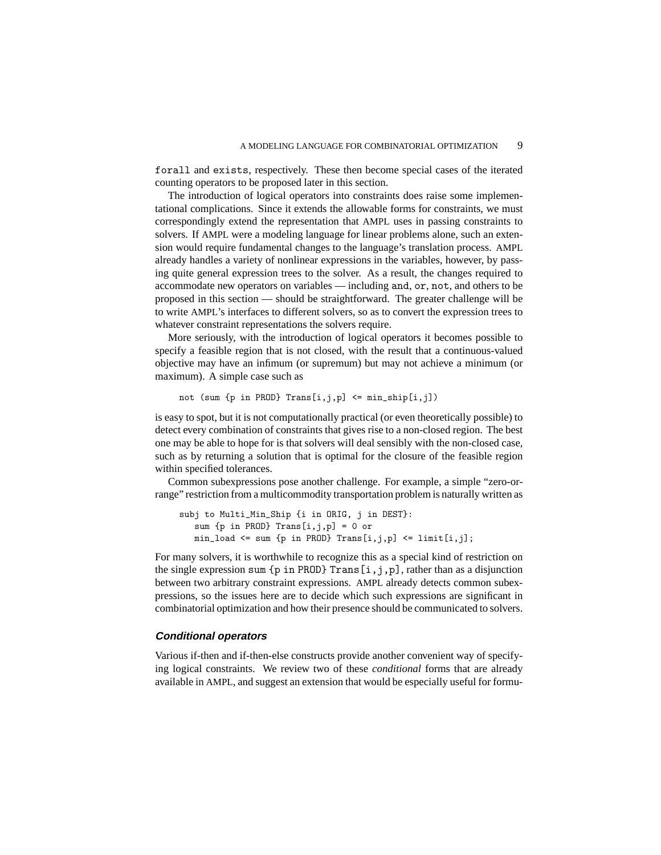forall and exists, respectively. These then become special cases of the iterated counting operators to be proposed later in this section.

The introduction of logical operators into constraints does raise some implementational complications. Since it extends the allowable forms for constraints, we must correspondingly extend the representation that AMPL uses in passing constraints to solvers. If AMPL were a modeling language for linear problems alone, such an extension would require fundamental changes to the language's translation process. AMPL already handles a variety of nonlinear expressions in the variables, however, by passing quite general expression trees to the solver. As a result, the changes required to accommodate new operators on variables — including and, or, not, and others to be proposed in this section — should be straightforward. The greater challenge will be to write AMPL's interfaces to different solvers, so as to convert the expression trees to whatever constraint representations the solvers require.

More seriously, with the introduction of logical operators it becomes possible to specify a feasible region that is not closed, with the result that a continuous-valued objective may have an infimum (or supremum) but may not achieve a minimum (or maximum). A simple case such as

not (sum  ${p \text{ in } PROD}$  Trans $[i,j,p]$  <=  $min\_ship[i,j])$ 

is easy to spot, but it is not computationally practical (or even theoretically possible) to detect every combination of constraints that gives rise to a non-closed region. The best one may be able to hope for is that solvers will deal sensibly with the non-closed case, such as by returning a solution that is optimal for the closure of the feasible region within specified tolerances.

Common subexpressions pose another challenge. For example, a simple "zero-orrange" restriction from a multicommodity transportation problem is naturally written as

```
subj to Multi_Min_Ship {i in ORIG, j in DEST}:
      sum {p \text{ in } PROD} Trans[i,j,p] = 0 or
      \texttt{min\_load} \ \texttt{<= sum} \ \{ \texttt{p} \ \texttt{in} \ \texttt{PROD} \} \ \texttt{Trans} \ [ \texttt{i}, \texttt{j}, \texttt{p} ] \ \texttt{<= limit} \ [ \texttt{i}, \texttt{j} ] \ ;
```
For many solvers, it is worthwhile to recognize this as a special kind of restriction on the single expression sum {p in PROD} Trans[i,j,p], rather than as a disjunction between two arbitrary constraint expressions. AMPL already detects common subexpressions, so the issues here are to decide which such expressions are significant in combinatorial optimization and how their presence should be communicated to solvers.

## **Conditional operators**

Various if-then and if-then-else constructs provide another convenient way of specifying logical constraints. We review two of these *conditional* forms that are already available in AMPL, and suggest an extension that would be especially useful for formu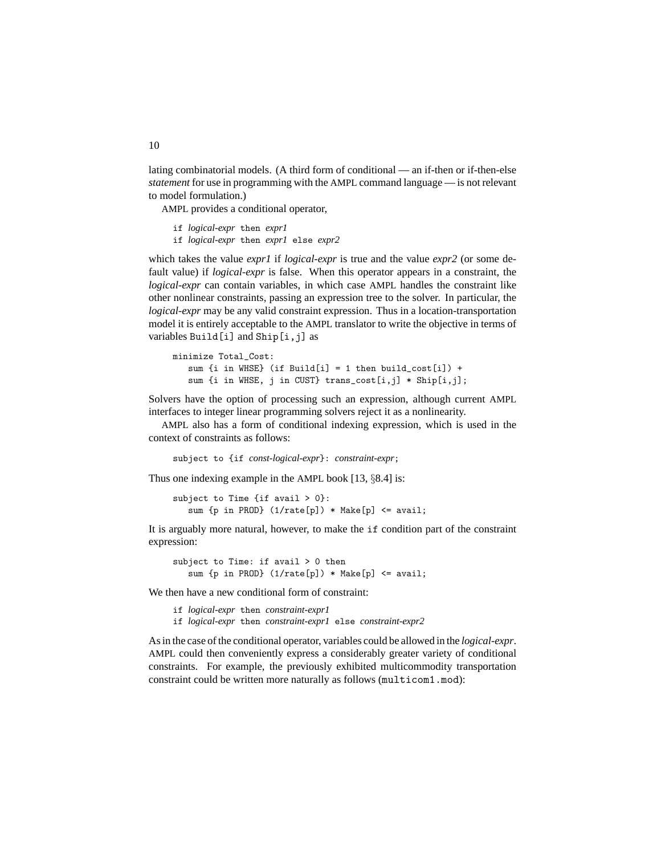lating combinatorial models. (A third form of conditional — an if-then or if-then-else *statement* for use in programming with the AMPL command language — is not relevant to model formulation.)

AMPL provides a conditional operator,

if *logical-expr* then *expr1*

if *logical-expr* then *expr1* else *expr2*

which takes the value *expr1* if *logical-expr* is true and the value *expr2* (or some default value) if *logical-expr* is false. When this operator appears in a constraint, the *logical-expr* can contain variables, in which case AMPL handles the constraint like other nonlinear constraints, passing an expression tree to the solver. In particular, the *logical-expr* may be any valid constraint expression. Thus in a location-transportation model it is entirely acceptable to the AMPL translator to write the objective in terms of variables Build[i] and Ship[i,j] as

```
minimize Total_Cost:
   sum {i in WHSE} (if Build[i] = 1 then build_cost[i]) +
   sum {i in WHSE, j in CUST} trans_cost[i,j] * Ship[i,j];
```
Solvers have the option of processing such an expression, although current AMPL interfaces to integer linear programming solvers reject it as a nonlinearity.

AMPL also has a form of conditional indexing expression, which is used in the context of constraints as follows:

subject to {if *const-logical-expr*}: *constraint-expr*;

Thus one indexing example in the AMPL book [13, §8.4] is:

```
subject to Time {if avail > 0}:
  sum {p in PROD} (1/rate[p]) * Make[p] <= avail;
```
It is arguably more natural, however, to make the if condition part of the constraint expression:

subject to Time: if avail  $> 0$  then sum {p in PROD} (1/rate[p]) \* Make[p] <= avail;

We then have a new conditional form of constraint:

if *logical-expr* then *constraint-expr1* if *logical-expr* then *constraint-expr1* else *constraint-expr2*

As in the case of the conditional operator, variables could be allowed in the *logical-expr*. AMPL could then conveniently express a considerably greater variety of conditional constraints. For example, the previously exhibited multicommodity transportation constraint could be written more naturally as follows (multicom1.mod):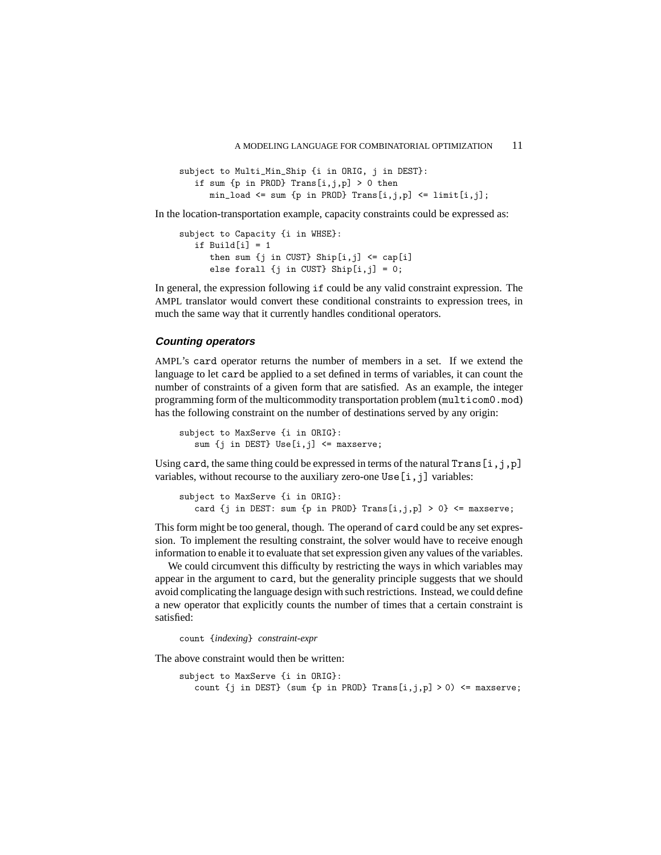```
subject to Multi_Min_Ship {i in ORIG, j in DEST}:
   if sum {p in PROD} Trans[i,j,p] > 0 then
      min_load <= sum {p in PROD} Trans[i,j,p] <= limit[i,j];
```
In the location-transportation example, capacity constraints could be expressed as:

subject to Capacity {i in WHSE}: if  $Build[i] = 1$ then sum  $\{j$  in CUST} Ship[i,j] <= cap[i] else forall  $\{j \text{ in } CUST\}$  Ship $[i,j] = 0;$ 

In general, the expression following if could be any valid constraint expression. The AMPL translator would convert these conditional constraints to expression trees, in much the same way that it currently handles conditional operators.

## **Counting operators**

AMPL's card operator returns the number of members in a set. If we extend the language to let card be applied to a set defined in terms of variables, it can count the number of constraints of a given form that are satisfied. As an example, the integer programming form of the multicommodity transportation problem (multicom0.mod) has the following constraint on the number of destinations served by any origin:

```
subject to MaxServe {i in ORIG}:
  sum {j in DEST} Use[i,j] <= maxserve;
```
Using card, the same thing could be expressed in terms of the natural  $Trans[i,j,p]$ variables, without recourse to the auxiliary zero-one Use [i,j] variables:

```
subject to MaxServe {i in ORIG}:
  card {j in DEST: sum {p in PROD} Trans[i,j,p] > 0} <= maxserve;
```
This form might be too general, though. The operand of card could be any set expression. To implement the resulting constraint, the solver would have to receive enough information to enable it to evaluate that set expression given any values of the variables.

We could circumvent this difficulty by restricting the ways in which variables may appear in the argument to card, but the generality principle suggests that we should avoid complicating the language design with such restrictions. Instead, we could define a new operator that explicitly counts the number of times that a certain constraint is satisfied:

count {*indexing*} *constraint-expr*

The above constraint would then be written:

```
subject to MaxServe {i in ORIG}:
   count \{j \text{ in } DEST\} (sum \{p \text{ in } PROD\} Trans[i,j,p] > 0) <= maxserve;
```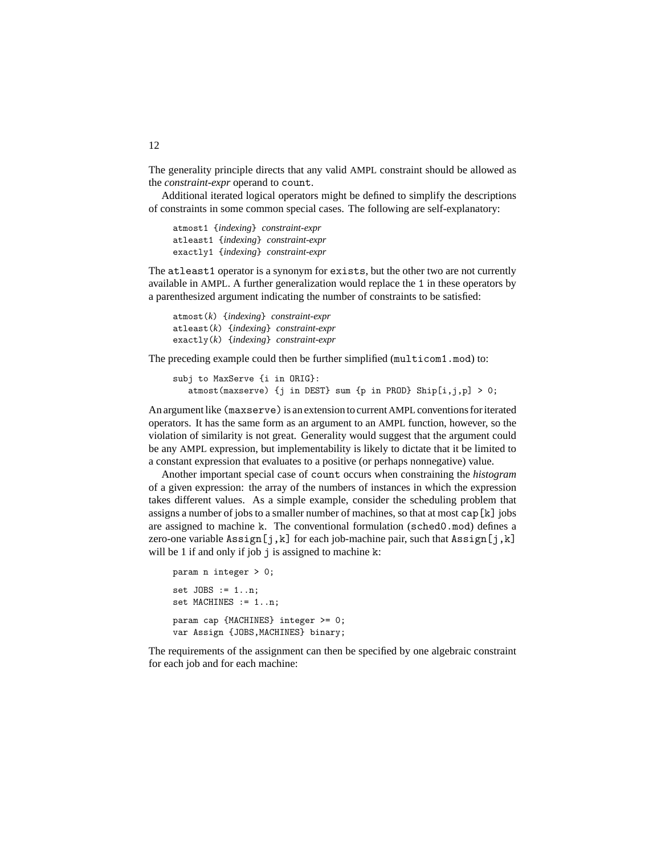The generality principle directs that any valid AMPL constraint should be allowed as the *constraint-expr* operand to count.

Additional iterated logical operators might be defined to simplify the descriptions of constraints in some common special cases. The following are self-explanatory:

atmost1 {*indexing*} *constraint-expr* atleast1 {*indexing*} *constraint-expr* exactly1 {*indexing*} *constraint-expr*

The atleast1 operator is a synonym for exists, but the other two are not currently available in AMPL. A further generalization would replace the 1 in these operators by a parenthesized argument indicating the number of constraints to be satisfied:

atmost(*k*) {*indexing*} *constraint-expr* atleast(*k*) {*indexing*} *constraint-expr* exactly(*k*) {*indexing*} *constraint-expr*

The preceding example could then be further simplified (multicom1.mod) to:

```
subj to MaxServe {i in ORIG}:
  atmost(maxserve) {j in DEST} sum {p in PROD} Ship[i,j,p] > 0;
```
An argument like (maxserve) is an extension to current AMPL conventions for iterated operators. It has the same form as an argument to an AMPL function, however, so the violation of similarity is not great. Generality would suggest that the argument could be any AMPL expression, but implementability is likely to dictate that it be limited to a constant expression that evaluates to a positive (or perhaps nonnegative) value.

Another important special case of count occurs when constraining the *histogram* of a given expression: the array of the numbers of instances in which the expression takes different values. As a simple example, consider the scheduling problem that assigns a number of jobs to a smaller number of machines, so that at most  $cap [k]$  jobs are assigned to machine k. The conventional formulation (sched0.mod) defines a zero-one variable  $\text{Assign}[j,k]$  for each job-machine pair, such that  $\text{Assign}[j,k]$ will be 1 if and only if job j is assigned to machine k:

```
param n integer > 0;
set JOBS := 1..n;
set MACHINES := 1..n;
param cap {MACHINES} integer >= 0;
var Assign {JOBS,MACHINES} binary;
```
The requirements of the assignment can then be specified by one algebraic constraint for each job and for each machine: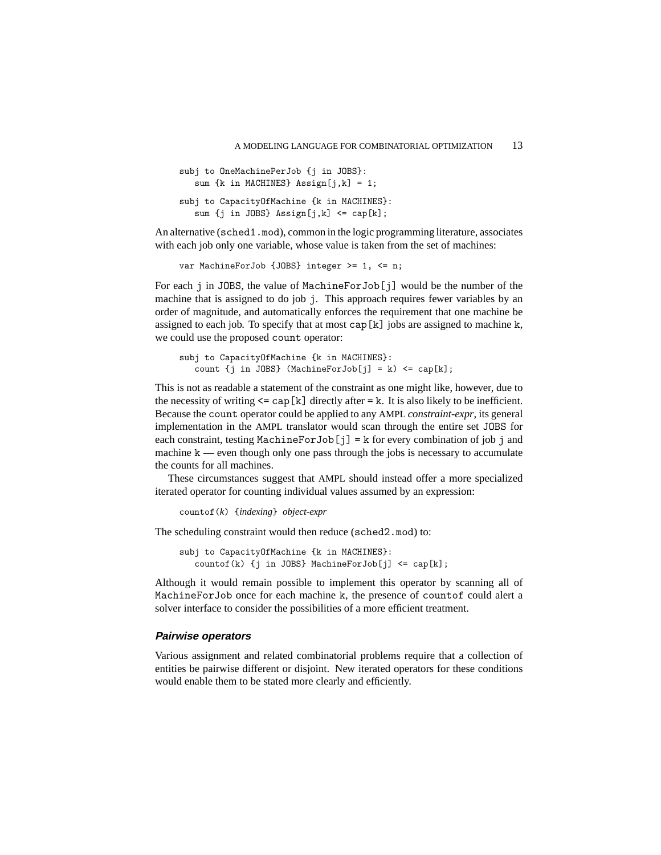```
subj to OneMachinePerJob {j in JOBS}:
   sum {k in MACHINES} Assign[j,k] = 1;
subj to CapacityOfMachine {k in MACHINES}:
   sum {j in JOBS} Assign[j,k] <= cap[k];
```
An alternative (sched1.mod), common in the logic programming literature, associates with each job only one variable, whose value is taken from the set of machines:

var MachineForJob {JOBS} integer >= 1, <= n;

For each j in JOBS, the value of MachineForJob[j] would be the number of the machine that is assigned to do job j. This approach requires fewer variables by an order of magnitude, and automatically enforces the requirement that one machine be assigned to each job. To specify that at most cap  $[k]$  jobs are assigned to machine k, we could use the proposed count operator:

```
subj to CapacityOfMachine {k in MACHINES}:
   count \{j \text{ in JOBS}\} (MachineForJob[j] = k) <= cap[k];
```
This is not as readable a statement of the constraint as one might like, however, due to the necessity of writing  $\leq$  cap [k] directly after = k. It is also likely to be inefficient. Because the count operator could be applied to any AMPL *constraint-expr*, its general implementation in the AMPL translator would scan through the entire set JOBS for each constraint, testing MachineForJob[j] =  $k$  for every combination of job j and machine  $k$  — even though only one pass through the jobs is necessary to accumulate the counts for all machines.

These circumstances suggest that AMPL should instead offer a more specialized iterated operator for counting individual values assumed by an expression:

countof(*k*) {*indexing*} *object-expr*

The scheduling constraint would then reduce (sched2.mod) to:

```
subj to CapacityOfMachine {k in MACHINES}:
   countof(k) \{j \text{ in JOBS}\} MachineForJob[j] \leq \text{cap}[k];
```
Although it would remain possible to implement this operator by scanning all of MachineForJob once for each machine k, the presence of countof could alert a solver interface to consider the possibilities of a more efficient treatment.

## **Pairwise operators**

Various assignment and related combinatorial problems require that a collection of entities be pairwise different or disjoint. New iterated operators for these conditions would enable them to be stated more clearly and efficiently.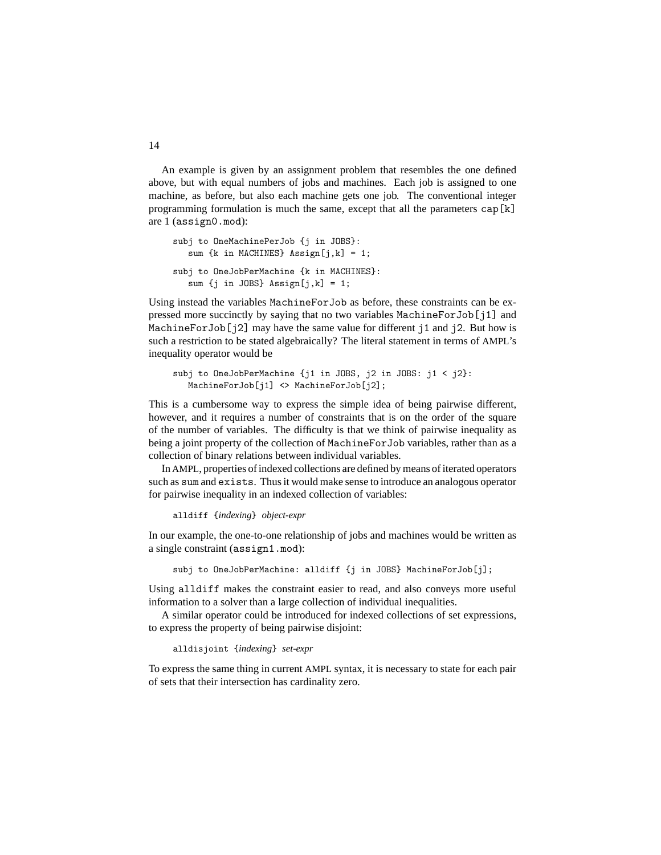An example is given by an assignment problem that resembles the one defined above, but with equal numbers of jobs and machines. Each job is assigned to one machine, as before, but also each machine gets one job. The conventional integer programming formulation is much the same, except that all the parameters cap[k] are 1 (assign0.mod):

```
subj to OneMachinePerJob {j in JOBS}:
   sum {k in MACHINES} Assign[j,k] = 1;
subj to OneJobPerMachine {k in MACHINES}:
   sum {j in JOBS} Assign[j,k] = 1;
```
Using instead the variables MachineForJob as before, these constraints can be expressed more succinctly by saying that no two variables MachineForJob[j1] and MachineForJob [ $i2$ ] may have the same value for different  $i1$  and  $i2$ . But how is such a restriction to be stated algebraically? The literal statement in terms of AMPL's inequality operator would be

```
subj to OneJobPerMachine {j1 in JOBS, j2 in JOBS: j1 < j2}:
  MachineForJob[j1] <> MachineForJob[j2];
```
This is a cumbersome way to express the simple idea of being pairwise different, however, and it requires a number of constraints that is on the order of the square of the number of variables. The difficulty is that we think of pairwise inequality as being a joint property of the collection of MachineForJob variables, rather than as a collection of binary relations between individual variables.

In AMPL, properties of indexed collections are defined by means of iterated operators such as sum and exists. Thus it would make sense to introduce an analogous operator for pairwise inequality in an indexed collection of variables:

alldiff {*indexing*} *object-expr*

In our example, the one-to-one relationship of jobs and machines would be written as a single constraint (assign1.mod):

subj to OneJobPerMachine: alldiff {j in JOBS} MachineForJob[j];

Using alldiff makes the constraint easier to read, and also conveys more useful information to a solver than a large collection of individual inequalities.

A similar operator could be introduced for indexed collections of set expressions, to express the property of being pairwise disjoint:

alldisjoint {*indexing*} *set-expr*

To express the same thing in current AMPL syntax, it is necessary to state for each pair of sets that their intersection has cardinality zero.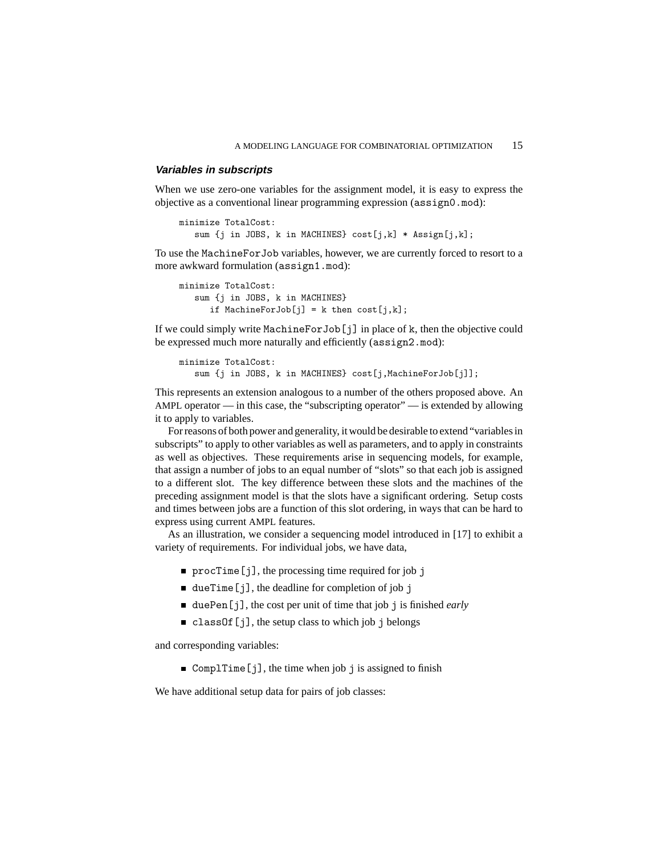#### **Variables in subscripts**

When we use zero-one variables for the assignment model, it is easy to express the objective as a conventional linear programming expression (assign0.mod):

```
minimize TotalCost:
   sum {j in JOBS, k in MACHINES} cost[j,k] * Assign[j,k];
```
To use the MachineForJob variables, however, we are currently forced to resort to a more awkward formulation (assign1.mod):

```
minimize TotalCost:
   sum {j in JOBS, k in MACHINES}
      if MachineForJob[j] = k then cost[j,k];
```
If we could simply write MachineForJob[j] in place of k, then the objective could be expressed much more naturally and efficiently (assign2.mod):

```
minimize TotalCost:
   sum {j in JOBS, k in MACHINES} cost[j,MachineForJob[j]];
```
This represents an extension analogous to a number of the others proposed above. An AMPL operator — in this case, the "subscripting operator" — is extended by allowing it to apply to variables.

For reasons of both power and generality, it would be desirable to extend "variables in subscripts" to apply to other variables as well as parameters, and to apply in constraints as well as objectives. These requirements arise in sequencing models, for example, that assign a number of jobs to an equal number of "slots" so that each job is assigned to a different slot. The key difference between these slots and the machines of the preceding assignment model is that the slots have a significant ordering. Setup costs and times between jobs are a function of this slot ordering, in ways that can be hard to express using current AMPL features.

As an illustration, we consider a sequencing model introduced in [17] to exhibit a variety of requirements. For individual jobs, we have data,

- procTime [j], the processing time required for job j
- $\blacksquare$  dueTime [j], the deadline for completion of job j
- duePen[j], the cost per unit of time that job j is finished *early*
- class Of  $[j]$ , the setup class to which job j belongs

and corresponding variables:

ComplTime  $[j]$ , the time when job j is assigned to finish

We have additional setup data for pairs of job classes: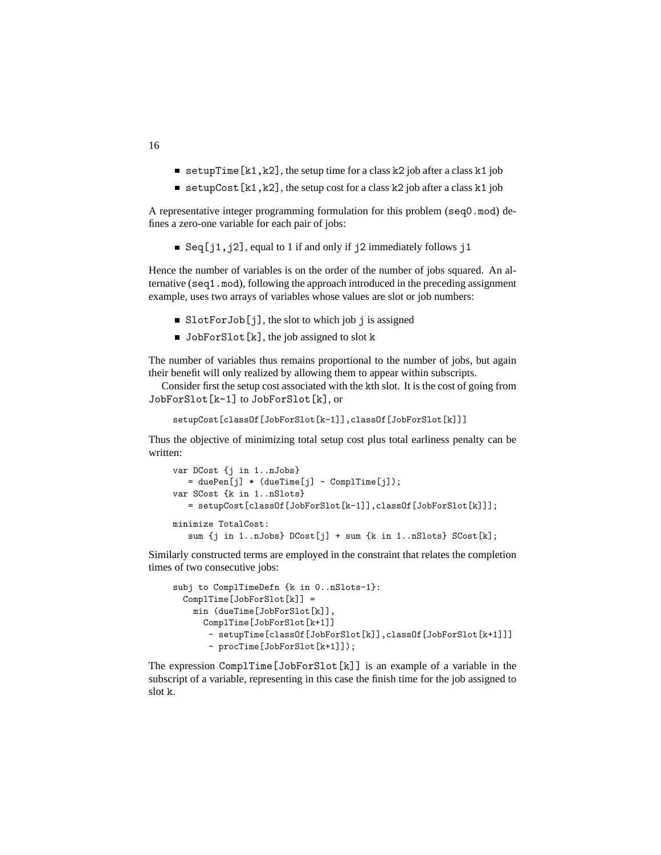- setupTime[k1,k2], the setup time for a class k2 job after a class k1 job
- setupCost  $[k1, k2]$ , the setup cost for a class k2 job after a class k1 job

A representative integer programming formulation for this problem (seq0.mod) defines a zero-one variable for each pair of jobs:

Seq[j1,j2], equal to 1 if and only if j2 immediately follows j1

Hence the number of variables is on the order of the number of jobs squared. An alternative (seq1.mod), following the approach introduced in the preceding assignment example, uses two arrays of variables whose values are slot or job numbers:

- $\blacksquare$  SlotForJob[j], the slot to which job j is assigned
- JobForSlot[k], the job assigned to slot k

The number of variables thus remains proportional to the number of jobs, but again their benefit will only realized by allowing them to appear within subscripts.

Consider first the setup cost associated with the kth slot. It is the cost of going from JobForSlot[k-1] to JobForSlot[k], or

```
setupCost[classOf[JobForSlot[k-1]],classOf[JobForSlot[k]]]
```
Thus the objective of minimizing total setup cost plus total earliness penalty can be written:

```
var DCost {j in 1..nJobs}
  = duePen[j] * (dueTime[j] - ComplTime[j]);
var SCost {k in 1..nSlots}
   = setupCost[classOf[JobForSlot[k-1]],classOf[JobForSlot[k]]];
minimize TotalCost:
   sum {j in 1..nJobs} DCost[j] + sum {k in 1..nSlots} SCost[k];
```
Similarly constructed terms are employed in the constraint that relates the completion times of two consecutive jobs:

```
subj to ComplTimeDefn {k in 0..nSlots-1}:
 ComplTime[JobForSlot[k]] =
   min (dueTime[JobForSlot[k]],
     ComplTime[JobForSlot[k+1]]
      - setupTime[classOf[JobForSlot[k]],classOf[JobForSlot[k+1]]]
      - procTime[JobForSlot[k+1]]);
```
The expression ComplTime[JobForSlot[k]] is an example of a variable in the subscript of a variable, representing in this case the finish time for the job assigned to slot k.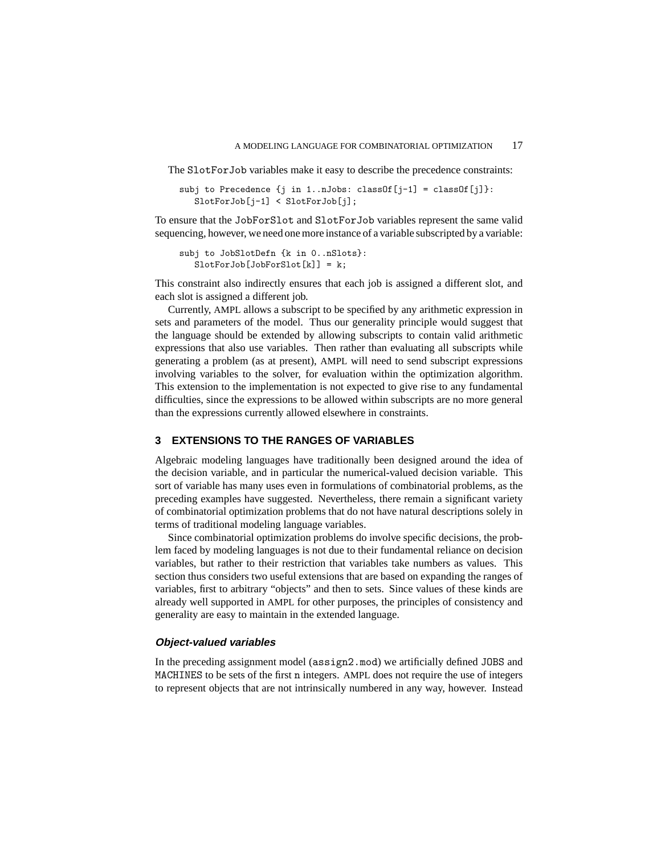The SlotForJob variables make it easy to describe the precedence constraints:

subj to Precedence  $\{j \text{ in } 1..nJobs: \text{ classOf}[j-1] = \text{classOf}[j]\}.$ SlotForJob[j-1] < SlotForJob[j];

To ensure that the JobForSlot and SlotForJob variables represent the same valid sequencing, however, we need one more instance of a variable subscripted by a variable:

```
subj to JobSlotDefn {k in 0..nSlots}:
  SlotForJob[JobForSlot[k]] = k;
```
This constraint also indirectly ensures that each job is assigned a different slot, and each slot is assigned a different job.

Currently, AMPL allows a subscript to be specified by any arithmetic expression in sets and parameters of the model. Thus our generality principle would suggest that the language should be extended by allowing subscripts to contain valid arithmetic expressions that also use variables. Then rather than evaluating all subscripts while generating a problem (as at present), AMPL will need to send subscript expressions involving variables to the solver, for evaluation within the optimization algorithm. This extension to the implementation is not expected to give rise to any fundamental difficulties, since the expressions to be allowed within subscripts are no more general than the expressions currently allowed elsewhere in constraints.

# **3 EXTENSIONS TO THE RANGES OF VARIABLES**

Algebraic modeling languages have traditionally been designed around the idea of the decision variable, and in particular the numerical-valued decision variable. This sort of variable has many uses even in formulations of combinatorial problems, as the preceding examples have suggested. Nevertheless, there remain a significant variety of combinatorial optimization problems that do not have natural descriptions solely in terms of traditional modeling language variables.

Since combinatorial optimization problems do involve specific decisions, the problem faced by modeling languages is not due to their fundamental reliance on decision variables, but rather to their restriction that variables take numbers as values. This section thus considers two useful extensions that are based on expanding the ranges of variables, first to arbitrary "objects" and then to sets. Since values of these kinds are already well supported in AMPL for other purposes, the principles of consistency and generality are easy to maintain in the extended language.

## **Object-valued variables**

In the preceding assignment model (assign2.mod) we artificially defined JOBS and MACHINES to be sets of the first n integers. AMPL does not require the use of integers to represent objects that are not intrinsically numbered in any way, however. Instead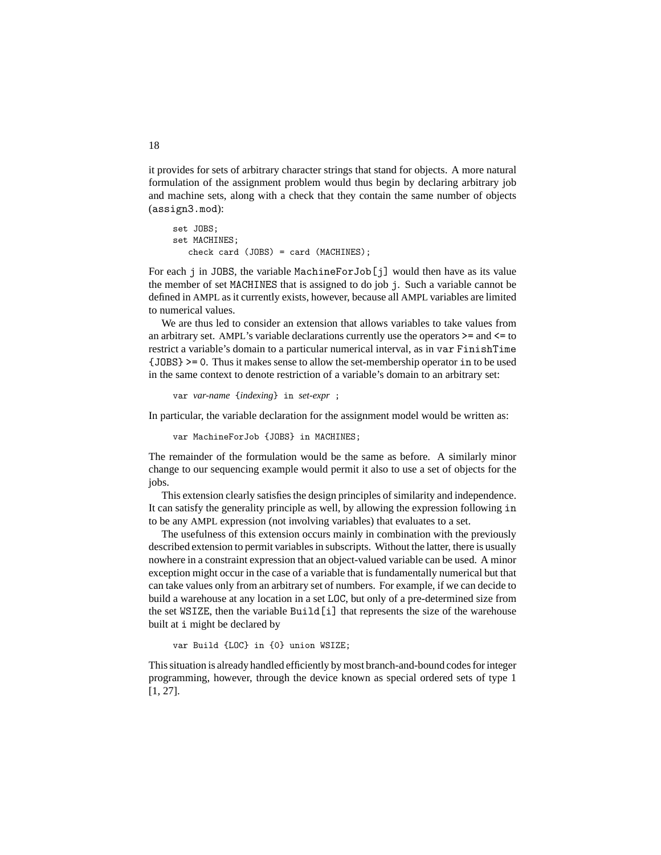it provides for sets of arbitrary character strings that stand for objects. A more natural formulation of the assignment problem would thus begin by declaring arbitrary job and machine sets, along with a check that they contain the same number of objects (assign3.mod):

```
set JOBS;
set MACHINES;
   check card (JOBS) = card (MACHINES);
```
For each j in JOBS, the variable MachineForJob[j] would then have as its value the member of set MACHINES that is assigned to do job j. Such a variable cannot be defined in AMPL as it currently exists, however, because all AMPL variables are limited to numerical values.

We are thus led to consider an extension that allows variables to take values from an arbitrary set. AMPL's variable declarations currently use the operators  $\geq$  = and  $\leq$  to restrict a variable's domain to a particular numerical interval, as in var FinishTime {JOBS} >= 0. Thus it makes sense to allow the set-membership operator in to be used in the same context to denote restriction of a variable's domain to an arbitrary set:

var *var-name* {*indexing*} in *set-expr* ;

In particular, the variable declaration for the assignment model would be written as:

var MachineForJob {JOBS} in MACHINES;

The remainder of the formulation would be the same as before. A similarly minor change to our sequencing example would permit it also to use a set of objects for the jobs.

This extension clearly satisfies the design principles of similarity and independence. It can satisfy the generality principle as well, by allowing the expression following in to be any AMPL expression (not involving variables) that evaluates to a set.

The usefulness of this extension occurs mainly in combination with the previously described extension to permit variables in subscripts. Without the latter, there is usually nowhere in a constraint expression that an object-valued variable can be used. A minor exception might occur in the case of a variable that is fundamentally numerical but that can take values only from an arbitrary set of numbers. For example, if we can decide to build a warehouse at any location in a set LOC, but only of a pre-determined size from the set WSIZE, then the variable Build[i] that represents the size of the warehouse built at i might be declared by

var Build {LOC} in {0} union WSIZE;

This situation is already handled efficiently by most branch-and-bound codes for integer programming, however, through the device known as special ordered sets of type 1 [1, 27].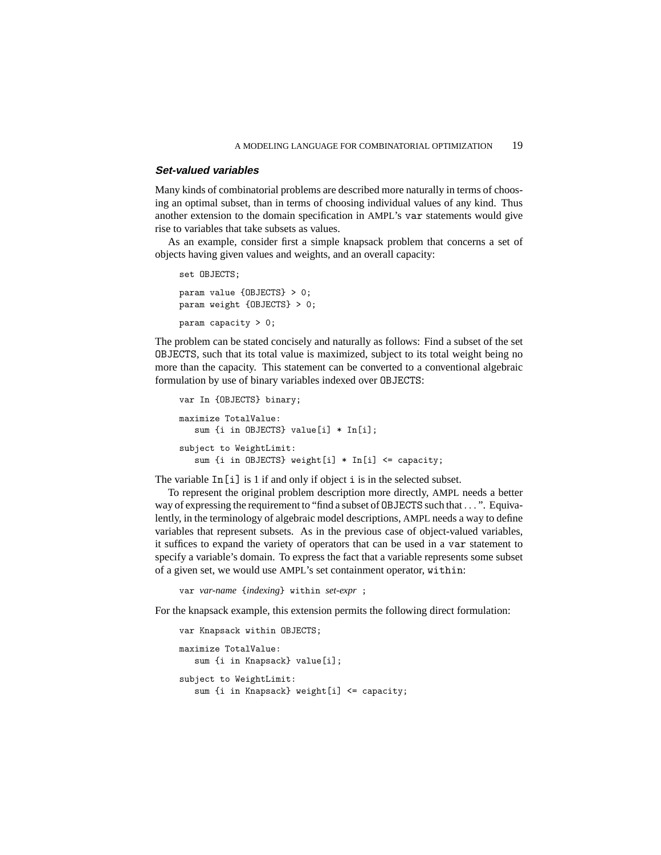#### **Set-valued variables**

Many kinds of combinatorial problems are described more naturally in terms of choosing an optimal subset, than in terms of choosing individual values of any kind. Thus another extension to the domain specification in AMPL's var statements would give rise to variables that take subsets as values.

As an example, consider first a simple knapsack problem that concerns a set of objects having given values and weights, and an overall capacity:

```
set OBJECTS;
param value {OBJECTS} > 0;
param weight {OBJECTS} > 0;
param capacity > 0;
```
The problem can be stated concisely and naturally as follows: Find a subset of the set OBJECTS, such that its total value is maximized, subject to its total weight being no more than the capacity. This statement can be converted to a conventional algebraic formulation by use of binary variables indexed over OBJECTS:

```
var In {OBJECTS} binary;
maximize TotalValue:
   sum {i in OBJECTS} value[i] * In[i];
subject to WeightLimit:
   sum {i in OBJECTS} weight[i] * In[i] <= capacity;
```
The variable In[i] is 1 if and only if object i is in the selected subset.

To represent the original problem description more directly, AMPL needs a better way of expressing the requirement to "find a subset of OBJECTS such that ... ". Equivalently, in the terminology of algebraic model descriptions, AMPL needs a way to define variables that represent subsets. As in the previous case of object-valued variables, it suffices to expand the variety of operators that can be used in a var statement to specify a variable's domain. To express the fact that a variable represents some subset of a given set, we would use AMPL's set containment operator, within:

var *var-name* {*indexing*} within *set-expr* ;

For the knapsack example, this extension permits the following direct formulation:

```
var Knapsack within OBJECTS;
maximize TotalValue:
   sum {i in Knapsack} value[i];
subject to WeightLimit:
   sum {i in Knapsack} weight[i] <= capacity;
```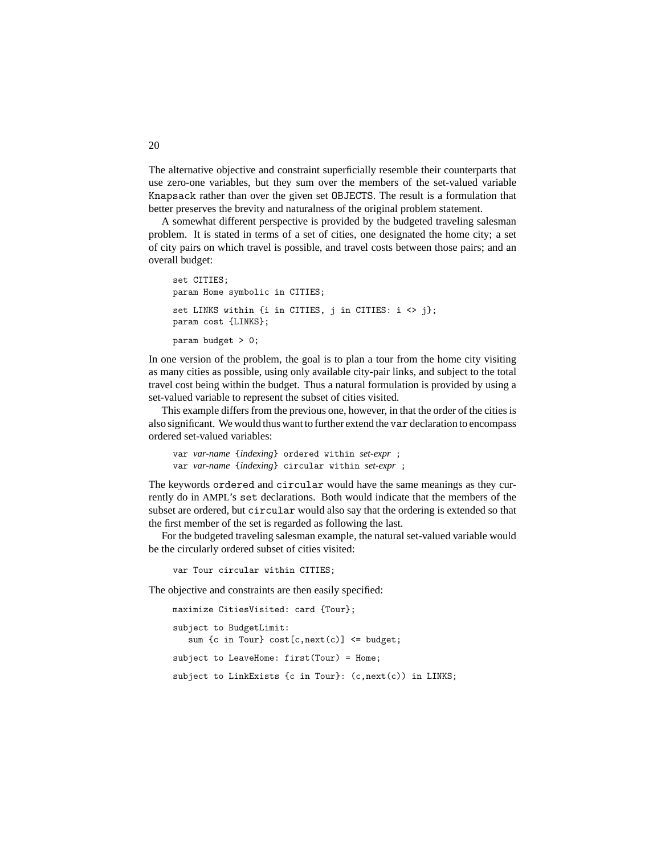The alternative objective and constraint superficially resemble their counterparts that use zero-one variables, but they sum over the members of the set-valued variable Knapsack rather than over the given set OBJECTS. The result is a formulation that better preserves the brevity and naturalness of the original problem statement.

A somewhat different perspective is provided by the budgeted traveling salesman problem. It is stated in terms of a set of cities, one designated the home city; a set of city pairs on which travel is possible, and travel costs between those pairs; and an overall budget:

```
set CITIES;
param Home symbolic in CITIES;
set LINKS within {i in CITIES, j in CITIES: i <> j};
param cost {LINKS};
param budget > 0;
```
In one version of the problem, the goal is to plan a tour from the home city visiting as many cities as possible, using only available city-pair links, and subject to the total travel cost being within the budget. Thus a natural formulation is provided by using a set-valued variable to represent the subset of cities visited.

This example differs from the previous one, however, in that the order of the cities is also significant. We would thus want to further extend the var declaration to encompass ordered set-valued variables:

```
var var-name {indexing} ordered within set-expr ;
var var-name {indexing} circular within set-expr ;
```
The keywords ordered and circular would have the same meanings as they currently do in AMPL's set declarations. Both would indicate that the members of the subset are ordered, but circular would also say that the ordering is extended so that the first member of the set is regarded as following the last.

For the budgeted traveling salesman example, the natural set-valued variable would be the circularly ordered subset of cities visited:

var Tour circular within CITIES;

The objective and constraints are then easily specified:

```
maximize CitiesVisited: card {Tour};
subject to BudgetLimit:
   sum {c in Tour} cost[c,next(c)] <= budget;
subject to LeaveHome: first(Tour) = Home;
subject to LinkExists {c in Tour}: (c,next(c)) in LINKS;
```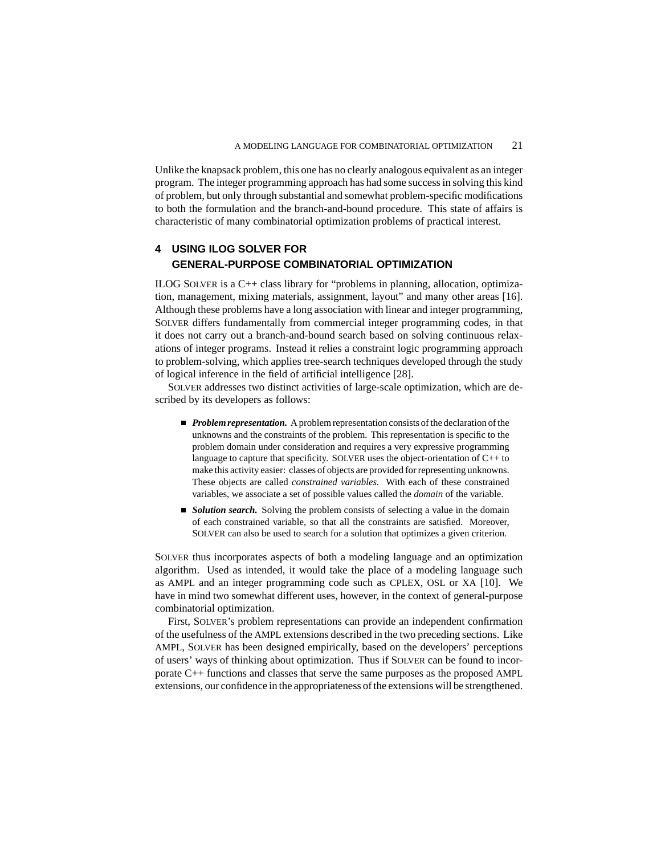Unlike the knapsack problem, this one has no clearly analogous equivalent as an integer program. The integer programming approach has had some success in solving this kind of problem, but only through substantial and somewhat problem-specific modifications to both the formulation and the branch-and-bound procedure. This state of affairs is characteristic of many combinatorial optimization problems of practical interest.

# **4 USING ILOG SOLVER FOR GENERAL-PURPOSE COMBINATORIAL OPTIMIZATION**

ILOG SOLVER is a C++ class library for "problems in planning, allocation, optimization, management, mixing materials, assignment, layout" and many other areas [16]. Although these problems have a long association with linear and integer programming, SOLVER differs fundamentally from commercial integer programming codes, in that it does not carry out a branch-and-bound search based on solving continuous relaxations of integer programs. Instead it relies a constraint logic programming approach to problem-solving, which applies tree-search techniques developed through the study of logical inference in the field of artificial intelligence [28].

SOLVER addresses two distinct activities of large-scale optimization, which are described by its developers as follows:

- **Problem representation.** A problem representation consists of the declaration of the unknowns and the constraints of the problem. This representation is specific to the problem domain under consideration and requires a very expressive programming language to capture that specificity. SOLVER uses the object-orientation of C++ to make this activity easier: classes of objects are provided for representing unknowns. These objects are called *constrained variables.* With each of these constrained variables, we associate a set of possible values called the *domain* of the variable.
- **Solution search.** Solving the problem consists of selecting a value in the domain of each constrained variable, so that all the constraints are satisfied. Moreover, SOLVER can also be used to search for a solution that optimizes a given criterion.

SOLVER thus incorporates aspects of both a modeling language and an optimization algorithm. Used as intended, it would take the place of a modeling language such as AMPL and an integer programming code such as CPLEX, OSL or XA [10]. We have in mind two somewhat different uses, however, in the context of general-purpose combinatorial optimization.

First, SOLVER's problem representations can provide an independent confirmation of the usefulness of the AMPL extensions described in the two preceding sections. Like AMPL, SOLVER has been designed empirically, based on the developers' perceptions of users' ways of thinking about optimization. Thus if SOLVER can be found to incorporate C++ functions and classes that serve the same purposes as the proposed AMPL extensions, our confidence in the appropriateness of the extensions will be strengthened.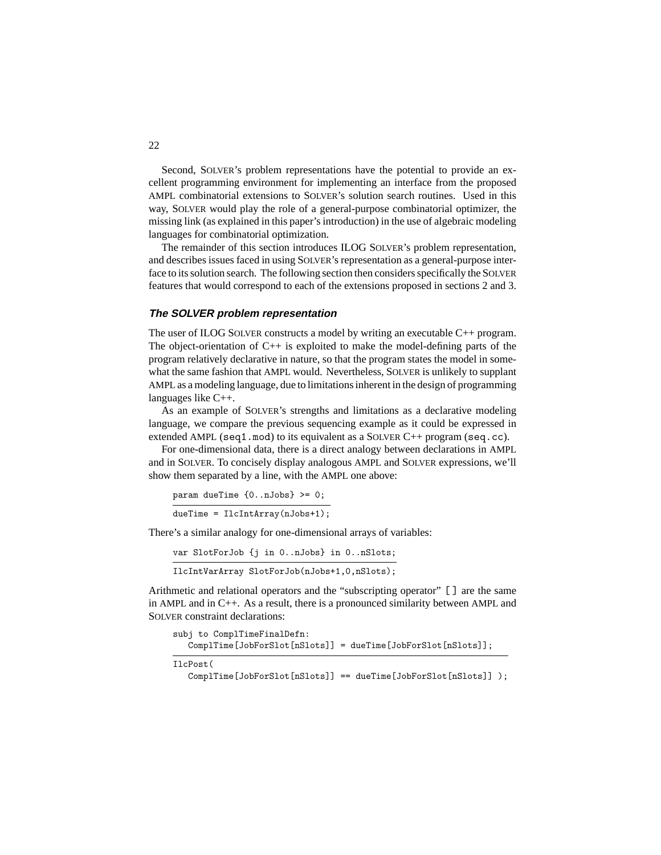Second, SOLVER's problem representations have the potential to provide an excellent programming environment for implementing an interface from the proposed AMPL combinatorial extensions to SOLVER's solution search routines. Used in this way, SOLVER would play the role of a general-purpose combinatorial optimizer, the missing link (as explained in this paper's introduction) in the use of algebraic modeling languages for combinatorial optimization.

The remainder of this section introduces ILOG SOLVER's problem representation, and describes issues faced in using SOLVER's representation as a general-purpose interface to its solution search. The following section then considers specifically the SOLVER features that would correspond to each of the extensions proposed in sections 2 and 3.

# **The SOLVER problem representation**

The user of ILOG SOLVER constructs a model by writing an executable C++ program. The object-orientation of  $C_{++}$  is exploited to make the model-defining parts of the program relatively declarative in nature, so that the program states the model in somewhat the same fashion that AMPL would. Nevertheless, SOLVER is unlikely to supplant AMPL as a modeling language, due to limitations inherent in the design of programming languages like C++.

As an example of SOLVER's strengths and limitations as a declarative modeling language, we compare the previous sequencing example as it could be expressed in extended AMPL (seq1.mod) to its equivalent as a SOLVER C++ program (seq.cc).

For one-dimensional data, there is a direct analogy between declarations in AMPL and in SOLVER. To concisely display analogous AMPL and SOLVER expressions, we'll show them separated by a line, with the AMPL one above:

|  |  | param dueTime $\{0nJobs\}$ >= 0;  |  |  |
|--|--|-----------------------------------|--|--|
|  |  | $dueTime = IlcIntArray(nJobs+1);$ |  |  |

There's a similar analogy for one-dimensional arrays of variables:

var SlotForJob {j in 0..nJobs} in 0..nSlots;

IlcIntVarArray SlotForJob(nJobs+1,0,nSlots);

Arithmetic and relational operators and the "subscripting operator" [ ] are the same in AMPL and in C++. As a result, there is a pronounced similarity between AMPL and SOLVER constraint declarations:

subj to ComplTimeFinalDefn: ComplTime[JobForSlot[nSlots]] = dueTime[JobForSlot[nSlots]];

IlcPost(

ComplTime[JobForSlot[nSlots]] == dueTime[JobForSlot[nSlots]] );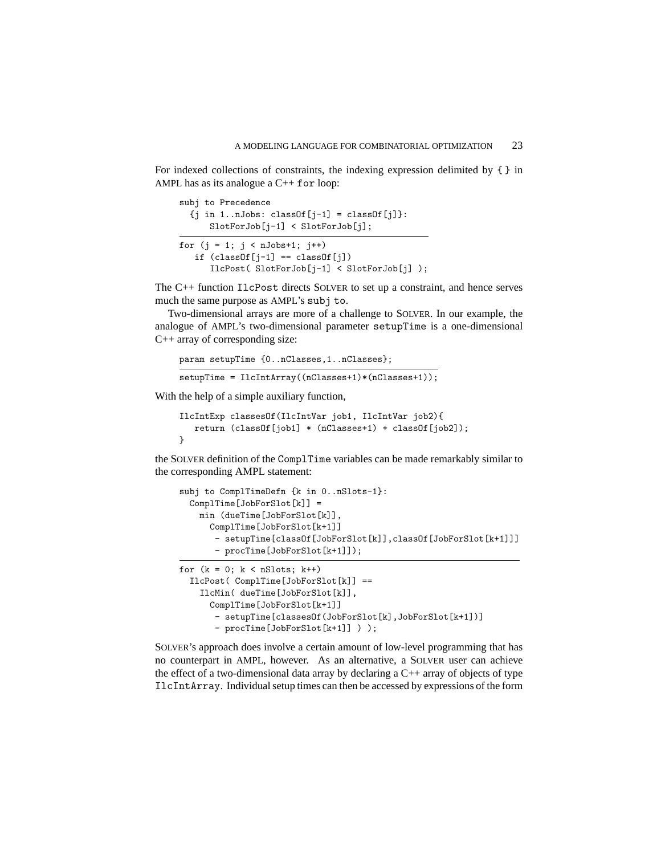For indexed collections of constraints, the indexing expression delimited by  $\{\}\$ in AMPL has as its analogue a C++ for loop:

```
subj to Precedence
  {j in 1..nJobs: classOf[j-1] = classOf[j]}:
      SlotForJob[j-1] < SlotForJob[j];
for (i = 1; j < nJobs+1; j++)if (classOf[i-1] == classOf[i])IlcPost( SlotForJob[j-1] < SlotForJob[j] );
```
The C++ function IlcPost directs SOLVER to set up a constraint, and hence serves much the same purpose as AMPL's subj to.

Two-dimensional arrays are more of a challenge to SOLVER. In our example, the analogue of AMPL's two-dimensional parameter setupTime is a one-dimensional C++ array of corresponding size:

param setupTime {0..nClasses,1..nClasses}; setupTime = IlcIntArray((nClasses+1)\*(nClasses+1));

With the help of a simple auxiliary function,

```
IlcIntExp classesOf(IlcIntVar job1, IlcIntVar job2){
   return (classOf[job1] * (nClasses+1) + classOf[job2]);
}
```
the SOLVER definition of the ComplTime variables can be made remarkably similar to the corresponding AMPL statement:

```
subj to ComplTimeDefn {k in 0..nSlots-1}:
 ComplTime[JobForSlot[k]] =
    min (dueTime[JobForSlot[k]],
      ComplTime[JobForSlot[k+1]]
       - setupTime[classOf[JobForSlot[k]],classOf[JobForSlot[k+1]]]
       - procTime[JobForSlot[k+1]]);
for (k = 0; k < nSlots; k++)
```

```
IlcPost( ComplTime[JobForSlot[k]] ==
 IlcMin( dueTime[JobForSlot[k]],
    ComplTime[JobForSlot[k+1]]
     - setupTime[classesOf(JobForSlot[k],JobForSlot[k+1])]
     - procTime[JobForSlot[k+1]] ) );
```
SOLVER's approach does involve a certain amount of low-level programming that has no counterpart in AMPL, however. As an alternative, a SOLVER user can achieve the effect of a two-dimensional data array by declaring a  $C_{++}$  array of objects of type IlcIntArray. Individual setup times can then be accessed by expressions of the form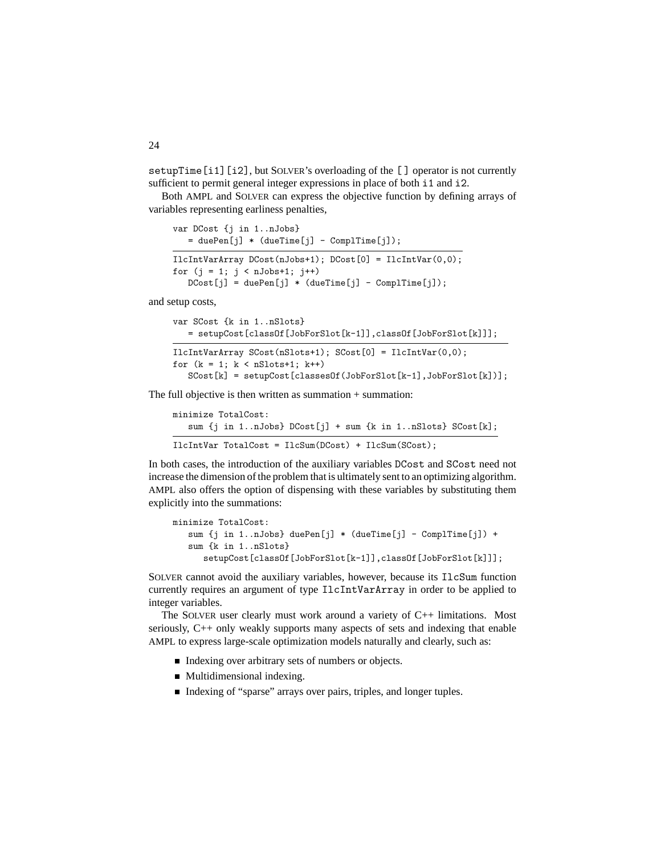setupTime $[i1]$ [i2], but SOLVER's overloading of the  $[]$  operator is not currently sufficient to permit general integer expressions in place of both i1 and i2.

Both AMPL and SOLVER can express the objective function by defining arrays of variables representing earliness penalties,

```
var DCost {j in 1..nJobs}
   = duePen[j] * (dueTime[j] - ComplTime[j]);
IlcIntVarArray DCost(nJobs+1); DCost[0] = IlcIntVar(0,0);
for (j = 1; j < nJobs+1; j++)DCost[j] = duePen[j] * (dueTime[j] - ComplTime[j]);
```
and setup costs,

var SCost {k in 1..nSlots} = setupCost[classOf[JobForSlot[k-1]],classOf[JobForSlot[k]]]; IlcIntVarArray SCost(nSlots+1); SCost[0] = IlcIntVar(0,0); for  $(k = 1; k < n$ Slots+1;  $k++$ )

SCost[k] = setupCost[classesOf(JobForSlot[k-1],JobForSlot[k])];

The full objective is then written as summation  $+$  summation:

minimize TotalCost: sum {j in 1..nJobs} DCost[j] + sum {k in 1..nSlots} SCost[k]; IlcIntVar TotalCost = IlcSum(DCost) + IlcSum(SCost);

In both cases, the introduction of the auxiliary variables DCost and SCost need not increase the dimension of the problem that is ultimately sent to an optimizing algorithm. AMPL also offers the option of dispensing with these variables by substituting them explicitly into the summations:

```
minimize TotalCost:
   sum {j in 1..nJobs} duePen[j] * (dueTime[j] - ComplTime[j]) +
   sum {k in 1..nSlots}
      setupCost[classOf[JobForSlot[k-1]],classOf[JobForSlot[k]]];
```
SOLVER cannot avoid the auxiliary variables, however, because its IlcSum function currently requires an argument of type IlcIntVarArray in order to be applied to integer variables.

The SOLVER user clearly must work around a variety of C++ limitations. Most seriously, C++ only weakly supports many aspects of sets and indexing that enable AMPL to express large-scale optimization models naturally and clearly, such as:

- Indexing over arbitrary sets of numbers or objects.
- Multidimensional indexing.
- Indexing of "sparse" arrays over pairs, triples, and longer tuples.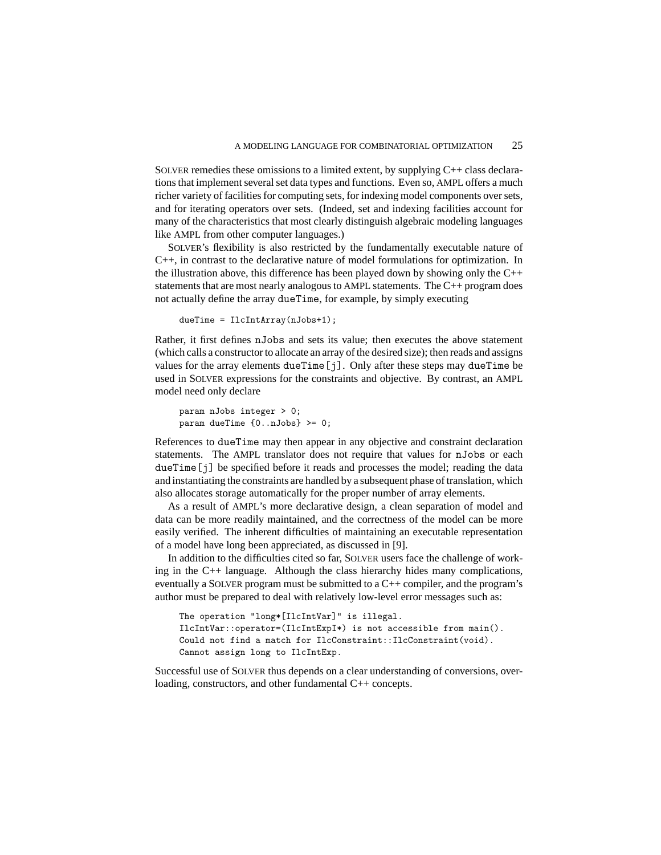SOLVER remedies these omissions to a limited extent, by supplying C++ class declarations that implement several set data types and functions. Even so, AMPL offers a much richer variety of facilities for computing sets, for indexing model components over sets, and for iterating operators over sets. (Indeed, set and indexing facilities account for many of the characteristics that most clearly distinguish algebraic modeling languages like AMPL from other computer languages.)

SOLVER's flexibility is also restricted by the fundamentally executable nature of C++, in contrast to the declarative nature of model formulations for optimization. In the illustration above, this difference has been played down by showing only the C++ statements that are most nearly analogous to AMPL statements. The C++ program does not actually define the array dueTime, for example, by simply executing

```
dueTime = IlcIntArray(nJobs+1);
```
Rather, it first defines nJobs and sets its value; then executes the above statement (which calls a constructor to allocate an array of the desired size); then reads and assigns values for the array elements dueTime[j]. Only after these steps may dueTime be used in SOLVER expressions for the constraints and objective. By contrast, an AMPL model need only declare

```
param nJobs integer > 0;
param dueTime {0..nJobs} >= 0;
```
References to dueTime may then appear in any objective and constraint declaration statements. The AMPL translator does not require that values for nJobs or each dueTime[j] be specified before it reads and processes the model; reading the data and instantiating the constraints are handled by a subsequent phase of translation, which also allocates storage automatically for the proper number of array elements.

As a result of AMPL's more declarative design, a clean separation of model and data can be more readily maintained, and the correctness of the model can be more easily verified. The inherent difficulties of maintaining an executable representation of a model have long been appreciated, as discussed in [9].

In addition to the difficulties cited so far, SOLVER users face the challenge of working in the C++ language. Although the class hierarchy hides many complications, eventually a SOLVER program must be submitted to a  $C_{++}$  compiler, and the program's author must be prepared to deal with relatively low-level error messages such as:

```
The operation "long*[IlcIntVar]" is illegal.
IlcIntVar::operator=(IlcIntExpI*) is not accessible from main().
Could not find a match for IlcConstraint::IlcConstraint(void).
Cannot assign long to IlcIntExp.
```
Successful use of SOLVER thus depends on a clear understanding of conversions, overloading, constructors, and other fundamental C++ concepts.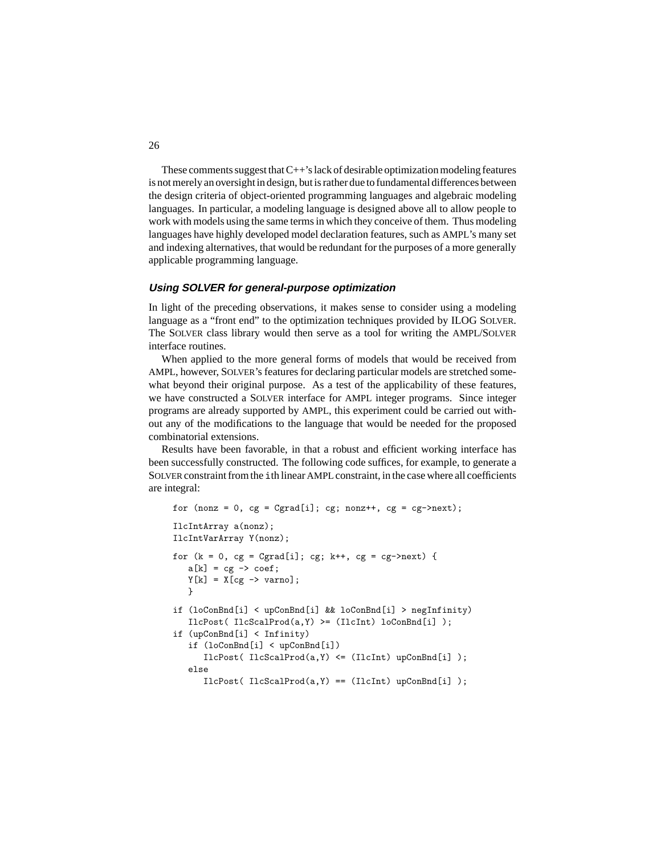These comments suggest that  $C++$ 's lack of desirable optimization modeling features is not merely an oversight in design, but is rather due to fundamental differences between the design criteria of object-oriented programming languages and algebraic modeling languages. In particular, a modeling language is designed above all to allow people to work with models using the same terms in which they conceive of them. Thus modeling languages have highly developed model declaration features, such as AMPL's many set and indexing alternatives, that would be redundant for the purposes of a more generally applicable programming language.

## **Using SOLVER for general-purpose optimization**

In light of the preceding observations, it makes sense to consider using a modeling language as a "front end" to the optimization techniques provided by ILOG SOLVER. The SOLVER class library would then serve as a tool for writing the AMPL/SOLVER interface routines.

When applied to the more general forms of models that would be received from AMPL, however, SOLVER's features for declaring particular models are stretched somewhat beyond their original purpose. As a test of the applicability of these features, we have constructed a SOLVER interface for AMPL integer programs. Since integer programs are already supported by AMPL, this experiment could be carried out without any of the modifications to the language that would be needed for the proposed combinatorial extensions.

Results have been favorable, in that a robust and efficient working interface has been successfully constructed. The following code suffices, for example, to generate a SOLVER constraint from the ith linear AMPL constraint, in the case where all coefficients are integral:

```
for (nonz = 0, cg = Cgrad[i]; cg; nonz++, cg = cg->next);IlcIntArray a(nonz);
IlcIntVarArray Y(nonz);
for (k = 0, cg = Cgrad[i]; cg; k++, cg = cg->next) {
   a[k] = cg \rightarrow coef;Y[k] = X[cg \rightarrow varno];}
if (loConBnd[i] < upConBnd[i] && loConBnd[i] > negInfinity)
   IlcPost( IlcScalProd(a,Y) >= (IlcInt) loConBnd[i] );
if (upConBnd[i] < Infinity)
   if (loConBnd[i] < upConBnd[i])
      IlcPost( IlcScalProd(a,Y) <= (IlcInt) upConBnd[i] );
   else
      IlcPost( IlcScalProd(a, Y) == (IlcInt) upConEnd[i] );
```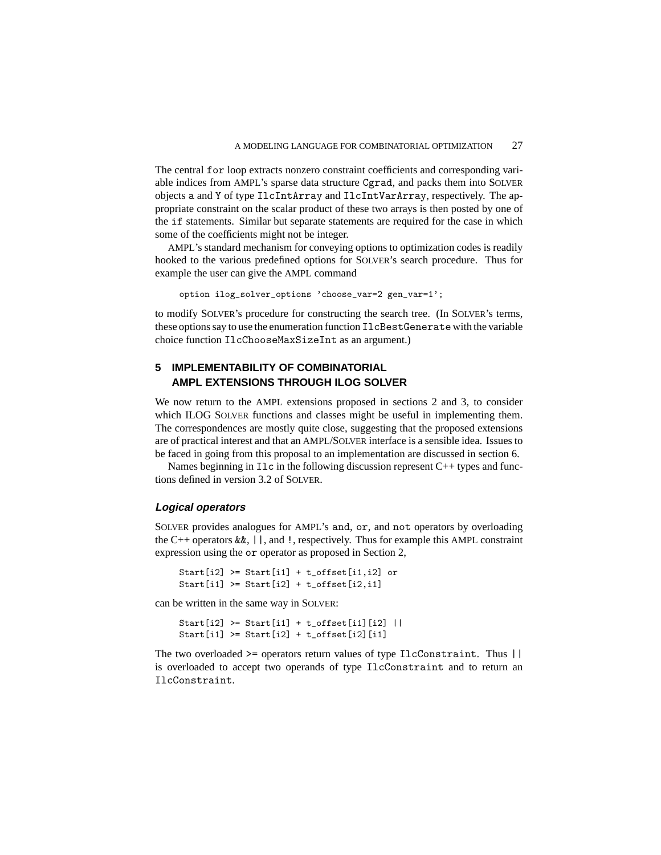The central for loop extracts nonzero constraint coefficients and corresponding variable indices from AMPL's sparse data structure Cgrad, and packs them into SOLVER objects a and Y of type IlcIntArray and IlcIntVarArray, respectively. The appropriate constraint on the scalar product of these two arrays is then posted by one of the if statements. Similar but separate statements are required for the case in which some of the coefficients might not be integer.

AMPL's standard mechanism for conveying options to optimization codes is readily hooked to the various predefined options for SOLVER's search procedure. Thus for example the user can give the AMPL command

```
option ilog_solver_options 'choose_var=2 gen_var=1';
```
to modify SOLVER's procedure for constructing the search tree. (In SOLVER's terms, these options say to use the enumeration function IlcBestGenerate with the variable choice function IlcChooseMaxSizeInt as an argument.)

# **5 IMPLEMENTABILITY OF COMBINATORIAL AMPL EXTENSIONS THROUGH ILOG SOLVER**

We now return to the AMPL extensions proposed in sections 2 and 3, to consider which ILOG SOLVER functions and classes might be useful in implementing them. The correspondences are mostly quite close, suggesting that the proposed extensions are of practical interest and that an AMPL/SOLVER interface is a sensible idea. Issues to be faced in going from this proposal to an implementation are discussed in section 6.

Names beginning in  $\text{I1c}$  in the following discussion represent  $\text{C++}$  types and functions defined in version 3.2 of SOLVER.

## **Logical operators**

SOLVER provides analogues for AMPL's and, or, and not operators by overloading the C++ operators  $\& k$ ,  $||$ , and  $||$ , respectively. Thus for example this AMPL constraint expression using the or operator as proposed in Section 2,

Start $[i2]$  >= Start $[i1]$  + t\_offset $[i1,i2]$  or Start $[i1]$  >= Start $[i2]$  + t\_offset $[i2, i1]$ 

can be written in the same way in SOLVER:

```
Start[i2] >= Start[i1] + t_offset[i1][i2] ||
Start[i1] \geq Start[i2] + t_offset[i2][i1]
```
The two overloaded >= operators return values of type IlcConstraint. Thus || is overloaded to accept two operands of type IlcConstraint and to return an IlcConstraint.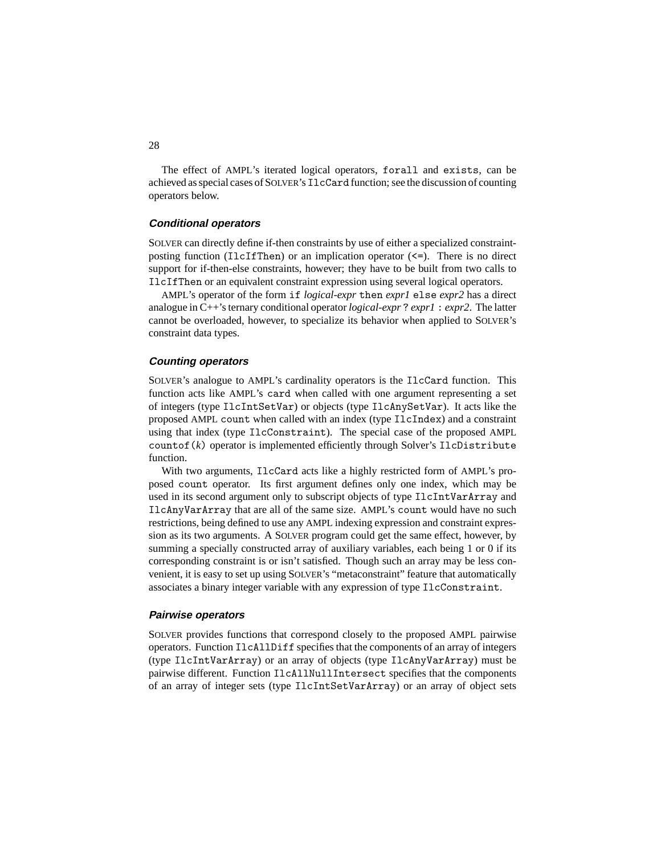The effect of AMPL's iterated logical operators, forall and exists, can be achieved as special cases of SOLVER's IlcCard function; see the discussion of counting operators below.

## **Conditional operators**

SOLVER can directly define if-then constraints by use of either a specialized constraintposting function (IlcIfThen) or an implication operator  $(\leq)$ . There is no direct support for if-then-else constraints, however; they have to be built from two calls to IlcIfThen or an equivalent constraint expression using several logical operators.

AMPL's operator of the form if *logical-expr* then *expr1* else *expr2* has a direct analogue in C++'s ternary conditional operator *logical-expr* ? *expr1* : *expr2*. The latter cannot be overloaded, however, to specialize its behavior when applied to SOLVER's constraint data types.

# **Counting operators**

SOLVER's analogue to AMPL's cardinality operators is the IlcCard function. This function acts like AMPL's card when called with one argument representing a set of integers (type IlcIntSetVar) or objects (type IlcAnySetVar). It acts like the proposed AMPL count when called with an index (type IlcIndex) and a constraint using that index (type IlcConstraint). The special case of the proposed AMPL countof(*k*) operator is implemented efficiently through Solver's IlcDistribute function.

With two arguments, IlcCard acts like a highly restricted form of AMPL's proposed count operator. Its first argument defines only one index, which may be used in its second argument only to subscript objects of type IlcIntVarArray and IlcAnyVarArray that are all of the same size. AMPL's count would have no such restrictions, being defined to use any AMPL indexing expression and constraint expression as its two arguments. A SOLVER program could get the same effect, however, by summing a specially constructed array of auxiliary variables, each being 1 or 0 if its corresponding constraint is or isn't satisfied. Though such an array may be less convenient, it is easy to set up using SOLVER's "metaconstraint" feature that automatically associates a binary integer variable with any expression of type IlcConstraint.

## **Pairwise operators**

SOLVER provides functions that correspond closely to the proposed AMPL pairwise operators. Function IlcAllDiff specifies that the components of an array of integers (type IlcIntVarArray) or an array of objects (type IlcAnyVarArray) must be pairwise different. Function IlcAllNullIntersect specifies that the components of an array of integer sets (type IlcIntSetVarArray) or an array of object sets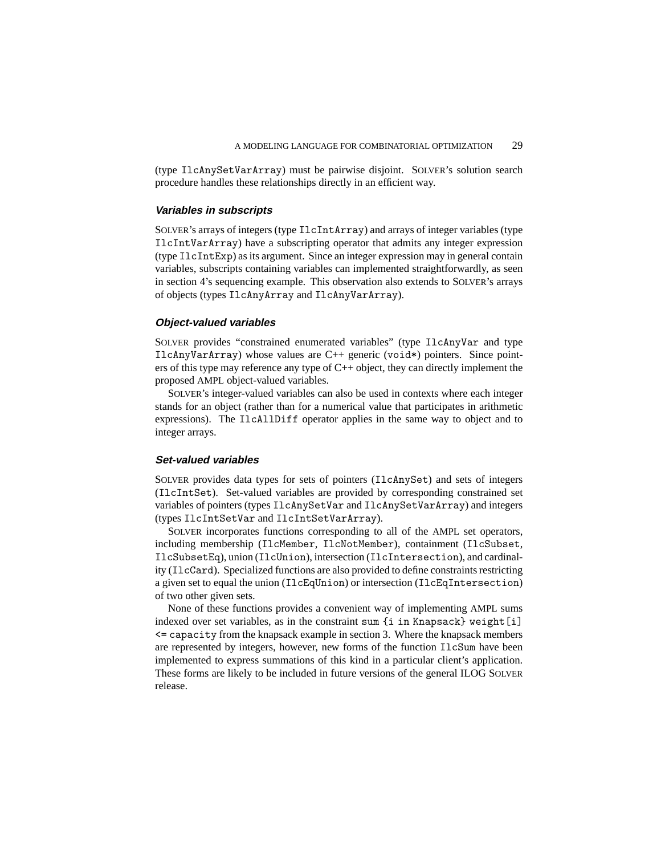(type IlcAnySetVarArray) must be pairwise disjoint. SOLVER's solution search procedure handles these relationships directly in an efficient way.

## **Variables in subscripts**

SOLVER's arrays of integers (type IlcIntArray) and arrays of integer variables (type IlcIntVarArray) have a subscripting operator that admits any integer expression (type IlcIntExp) as its argument. Since an integer expression may in general contain variables, subscripts containing variables can implemented straightforwardly, as seen in section 4's sequencing example. This observation also extends to SOLVER's arrays of objects (types IlcAnyArray and IlcAnyVarArray).

## **Object-valued variables**

SOLVER provides "constrained enumerated variables" (type IlcAnyVar and type IlcAnyVarArray) whose values are C++ generic (void\*) pointers. Since pointers of this type may reference any type of C++ object, they can directly implement the proposed AMPL object-valued variables.

SOLVER's integer-valued variables can also be used in contexts where each integer stands for an object (rather than for a numerical value that participates in arithmetic expressions). The IlcAllDiff operator applies in the same way to object and to integer arrays.

# **Set-valued variables**

SOLVER provides data types for sets of pointers (IlcAnySet) and sets of integers (IlcIntSet). Set-valued variables are provided by corresponding constrained set variables of pointers (types IlcAnySetVar and IlcAnySetVarArray) and integers (types IlcIntSetVar and IlcIntSetVarArray).

SOLVER incorporates functions corresponding to all of the AMPL set operators, including membership (IlcMember, IlcNotMember), containment (IlcSubset, IlcSubsetEq), union (IlcUnion), intersection (IlcIntersection), and cardinality (IlcCard). Specialized functions are also provided to define constraints restricting a given set to equal the union (IlcEqUnion) or intersection (IlcEqIntersection) of two other given sets.

None of these functions provides a convenient way of implementing AMPL sums indexed over set variables, as in the constraint sum {i in Knapsack} weight[i] <= capacity from the knapsack example in section 3. Where the knapsack members are represented by integers, however, new forms of the function IlcSum have been implemented to express summations of this kind in a particular client's application. These forms are likely to be included in future versions of the general ILOG SOLVER release.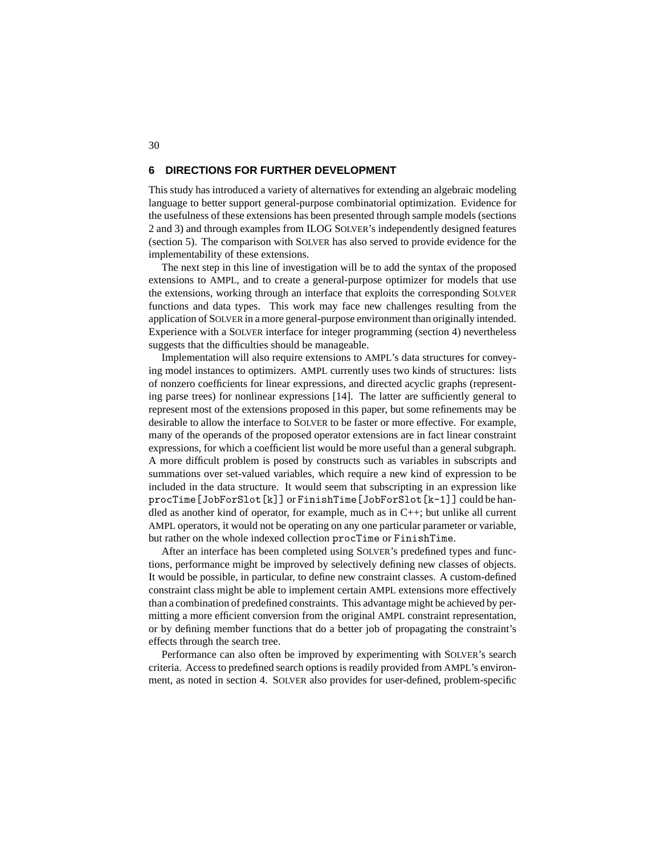## **6 DIRECTIONS FOR FURTHER DEVELOPMENT**

This study has introduced a variety of alternatives for extending an algebraic modeling language to better support general-purpose combinatorial optimization. Evidence for the usefulness of these extensions has been presented through sample models (sections 2 and 3) and through examples from ILOG SOLVER's independently designed features (section 5). The comparison with SOLVER has also served to provide evidence for the implementability of these extensions.

The next step in this line of investigation will be to add the syntax of the proposed extensions to AMPL, and to create a general-purpose optimizer for models that use the extensions, working through an interface that exploits the corresponding SOLVER functions and data types. This work may face new challenges resulting from the application of SOLVER in a more general-purpose environment than originally intended. Experience with a SOLVER interface for integer programming (section 4) nevertheless suggests that the difficulties should be manageable.

Implementation will also require extensions to AMPL's data structures for conveying model instances to optimizers. AMPL currently uses two kinds of structures: lists of nonzero coefficients for linear expressions, and directed acyclic graphs (representing parse trees) for nonlinear expressions [14]. The latter are sufficiently general to represent most of the extensions proposed in this paper, but some refinements may be desirable to allow the interface to SOLVER to be faster or more effective. For example, many of the operands of the proposed operator extensions are in fact linear constraint expressions, for which a coefficient list would be more useful than a general subgraph. A more difficult problem is posed by constructs such as variables in subscripts and summations over set-valued variables, which require a new kind of expression to be included in the data structure. It would seem that subscripting in an expression like procTime[JobForSlot[k]] or FinishTime[JobForSlot[k-1]] could be handled as another kind of operator, for example, much as in  $C++$ ; but unlike all current AMPL operators, it would not be operating on any one particular parameter or variable, but rather on the whole indexed collection procTime or FinishTime.

After an interface has been completed using SOLVER's predefined types and functions, performance might be improved by selectively defining new classes of objects. It would be possible, in particular, to define new constraint classes. A custom-defined constraint class might be able to implement certain AMPL extensions more effectively than a combination of predefined constraints. This advantage might be achieved by permitting a more efficient conversion from the original AMPL constraint representation, or by defining member functions that do a better job of propagating the constraint's effects through the search tree.

Performance can also often be improved by experimenting with SOLVER's search criteria. Access to predefined search options is readily provided from AMPL's environment, as noted in section 4. SOLVER also provides for user-defined, problem-specific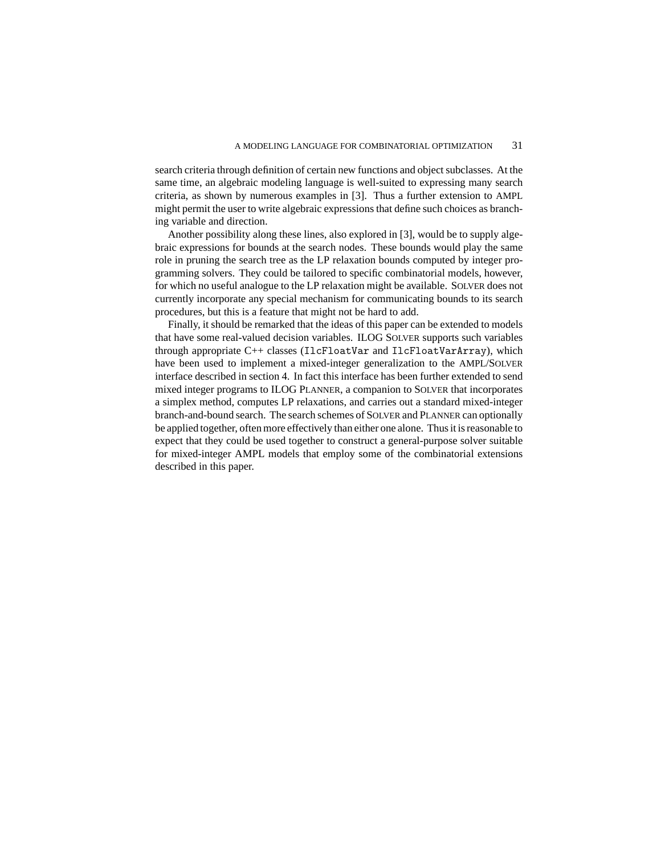search criteria through definition of certain new functions and object subclasses. At the same time, an algebraic modeling language is well-suited to expressing many search criteria, as shown by numerous examples in [3]. Thus a further extension to AMPL might permit the user to write algebraic expressions that define such choices as branching variable and direction.

Another possibility along these lines, also explored in [3], would be to supply algebraic expressions for bounds at the search nodes. These bounds would play the same role in pruning the search tree as the LP relaxation bounds computed by integer programming solvers. They could be tailored to specific combinatorial models, however, for which no useful analogue to the LP relaxation might be available. SOLVER does not currently incorporate any special mechanism for communicating bounds to its search procedures, but this is a feature that might not be hard to add.

Finally, it should be remarked that the ideas of this paper can be extended to models that have some real-valued decision variables. ILOG SOLVER supports such variables through appropriate C++ classes (IlcFloatVar and IlcFloatVarArray), which have been used to implement a mixed-integer generalization to the AMPL/SOLVER interface described in section 4. In fact this interface has been further extended to send mixed integer programs to ILOG PLANNER, a companion to SOLVER that incorporates a simplex method, computes LP relaxations, and carries out a standard mixed-integer branch-and-bound search. The search schemes of SOLVER and PLANNER can optionally be applied together, often more effectively than either one alone. Thus it is reasonable to expect that they could be used together to construct a general-purpose solver suitable for mixed-integer AMPL models that employ some of the combinatorial extensions described in this paper.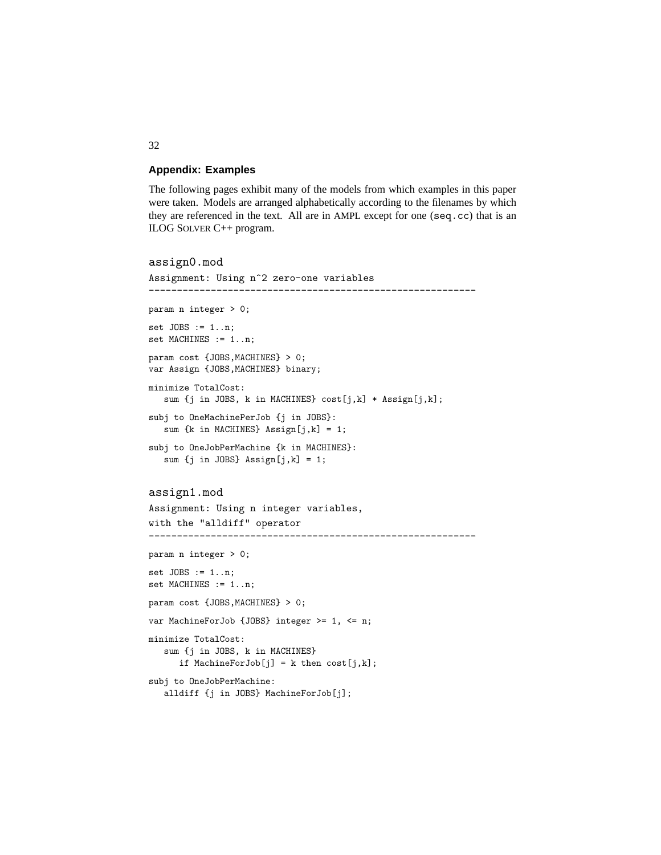## **Appendix: Examples**

The following pages exhibit many of the models from which examples in this paper were taken. Models are arranged alphabetically according to the filenames by which they are referenced in the text. All are in AMPL except for one (seq.cc) that is an ILOG SOLVER C++ program.

```
assign0.mod
Assignment: Using n^2 zero-one variables
----------------------------------------------------------
param n integer > 0;
set JOBS := 1..n;
set MACHINES := 1..n;
param cost {JOBS,MACHINES} > 0;
var Assign {JOBS,MACHINES} binary;
minimize TotalCost:
   sum {j in JOBS, k in MACHINES} cost[j,k] * Assign[j,k];
subj to OneMachinePerJob {j in JOBS}:
   sum {k in MACHINES} Assign[j,k] = 1;
subj to OneJobPerMachine {k in MACHINES}:
   sum \{j \text{ in JOBS}\} Assign[j, k] = 1;
assign1.mod
Assignment: Using n integer variables,
with the "alldiff" operator
----------------------------------------------------------
param n integer > 0;
set JOBS := 1..n;
set MACHINES := 1..n;
param cost {JOBS,MACHINES} > 0;
var MachineForJob {JOBS} integer >= 1, <= n;
minimize TotalCost:
   sum {j in JOBS, k in MACHINES}
     if MachineForJob[j] = k then cost[j,k];
subj to OneJobPerMachine:
   alldiff {j in JOBS} MachineForJob[j];
```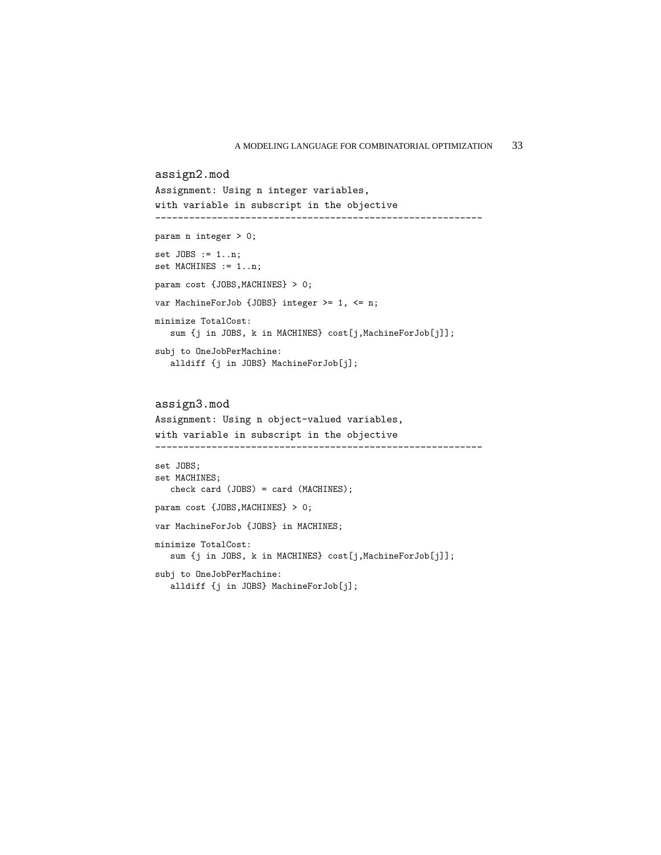assign2.mod Assignment: Using n integer variables, with variable in subscript in the objective --------------------------------------------------------- param n integer > 0; set JOBS := 1..n; set MACHINES := 1..n; param cost {JOBS,MACHINES} > 0; var MachineForJob {JOBS} integer >= 1, <= n; minimize TotalCost: sum {j in JOBS, k in MACHINES} cost[j,MachineForJob[j]]; subj to OneJobPerMachine: alldiff {j in JOBS} MachineForJob[j];

```
assign3.mod
Assignment: Using n object-valued variables,
with variable in subscript in the objective
----------------------------------------------------------
set JOBS;
set MACHINES;
  check card (JOBS) = card (MACHINES);
param cost {JOBS,MACHINES} > 0;
var MachineForJob {JOBS} in MACHINES;
minimize TotalCost:
   sum {j in JOBS, k in MACHINES} cost[j,MachineForJob[j]];
subj to OneJobPerMachine:
   alldiff {j in JOBS} MachineForJob[j];
```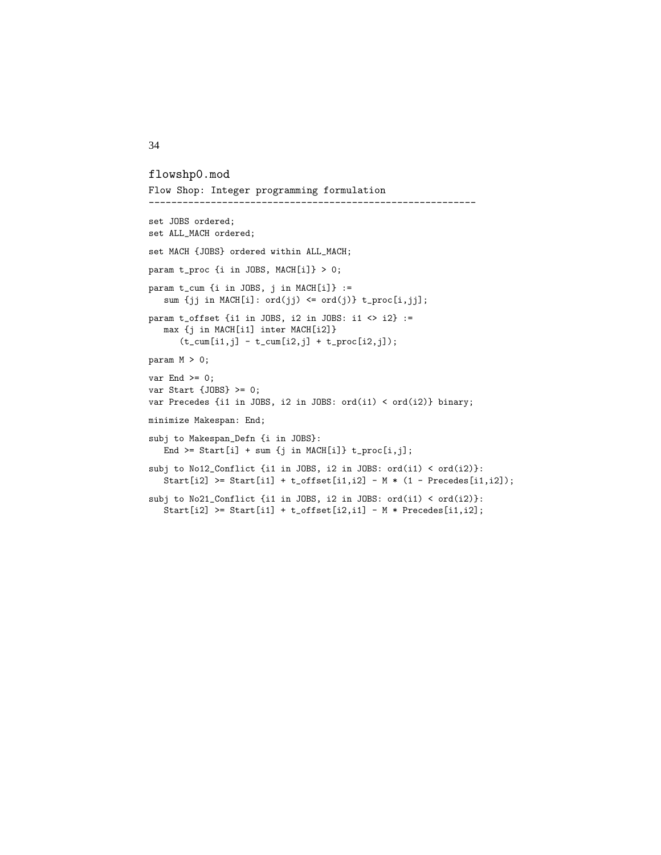```
flowshp0.mod
Flow Shop: Integer programming formulation
----------------------------------------------------------
set JOBS ordered;
set ALL_MACH ordered;
set MACH {JOBS} ordered within ALL_MACH;
param t_proc {i in JOBS, MACH[i]} > 0;
param t_cum {i in JOBS, j in MACH[i]} :=
   sum {jj in MACH[i]: ord(jj) <= ord(j)} t_proc[i,jj];
param t_offset {i1 in JOBS, i2 in JOBS: i1 <> i2} :=
   max {j in MACH[i1] inter MACH[i2]}
      (t_c \text{cum}[i1,j] - t_c \text{cum}[i2,j] + t_c \text{proc}[i2,j]);param M > 0;
var End >= 0;var Start {JOBS} >= 0;
var Precedes {i1 in JOBS, i2 in JOBS: ord(i1) < ord(i2)} binary;
minimize Makespan: End;
subj to Makespan_Defn {i in JOBS}:
   End >= Start[i] + sum {j in MACH[i]} t_proc[i,j];subj to No12_Conflict {i1 in JOBS, i2 in JOBS: ord(i1) < ord(i2)}:
   Start[i2] >= Start[i1] + t_offset[i1,i2] - M * (1 - Precedes[i1,i2]);
subj to No21_Conflict {i1 in JOBS, i2 in JOBS: ord(i1) < ord(i2)}:
   Start[i2] >= Start[i1] + t_offset[i2,i1] - M * Precedes[i1,i2];
```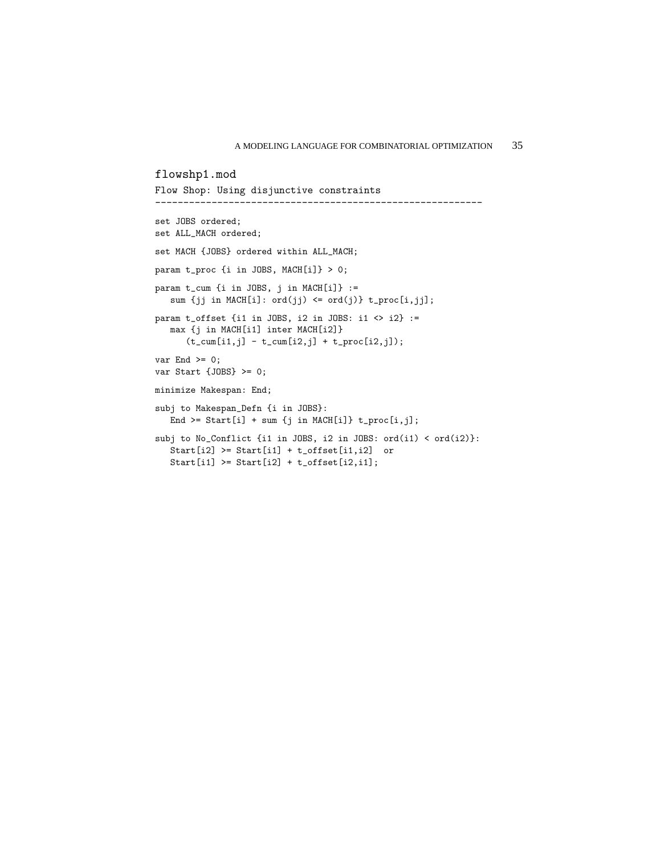```
flowshp1.mod
Flow Shop: Using disjunctive constraints
----------------------------------------------------------
set JOBS ordered;
set ALL_MACH ordered;
set MACH {JOBS} ordered within ALL_MACH;
param t_proc {i in JOBS, MACH[i]} > 0;
param t_cum {i in JOBS, j in MACH[i]} :=
     sum {jj in MACH[i]: ord(jj) <= ord(j)} t_proc[i,jj];
param t_offset {i1 in JOBS, i2 in JOBS: i1 <> i2} :=
     max {j in MACH[i1] inter MACH[i2]}
          (t_c \text{cum}[i1,j] - t_c \text{cum}[i2,j] + t_c \text{proc}[i2,j]);var End >= 0;
var Start {JOBS} >= 0;
minimize Makespan: End;
subj to Makespan_Defn {i in JOBS}:
     \label{eq:end} \begin{minipage}[h]{6.5\textwidth} \begin{minipage}[h]{6.5\textwidth} \centering \begin{minipage}[h]{0.4\textwidth} \centering \centering \end{minipage} \begin{minipage}[h]{6.5\textwidth} \centering \begin{minipage}[h]{0.4\textwidth} \centering \centering \end{minipage} \begin{minipage}[h]{0.4\textwidth} \centering \centering \end{minipage} \begin{minipage}[h]{0.4\textwidth} \centering \centering \end{minipage} \begin{minipage}[h]{0.4\textwidth} \centering \centering \end{minipage} \begin{minipage}[h]{0.4\textsubj to No_Conflict {i1 in JOBS, i2 in JOBS: ord(i1) < ord(i2)}:
     Start[i2] >= Start[i1] + t_{of}fset[i1,i2] or
     Start[i1] \geq Start[i2] + t_offset[i2, i1];
```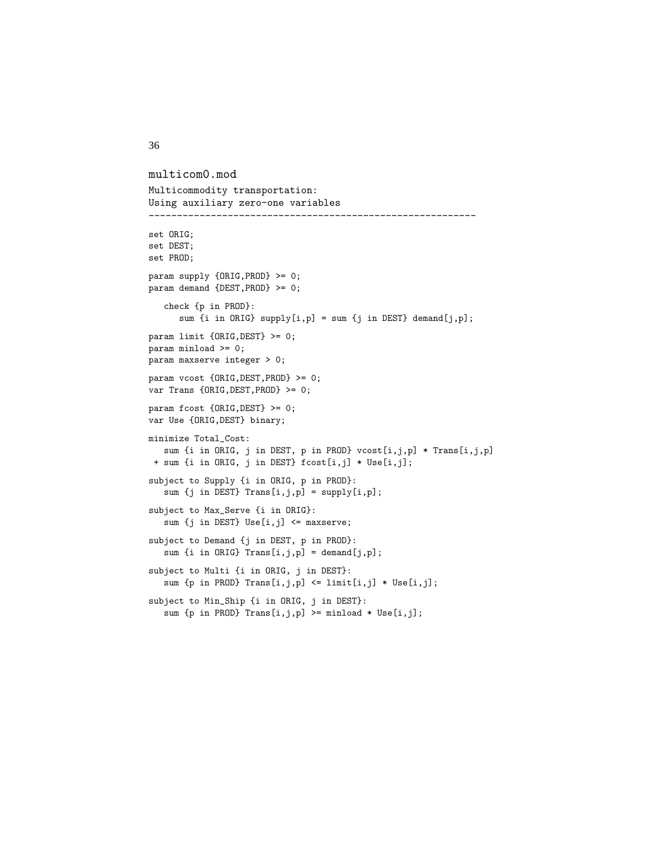```
multicom0.mod
Multicommodity transportation:
Using auxiliary zero-one variables
----------------------------------------------------------
set ORIG;
set DEST;
set PROD;
param supply {ORIG,PROD} >= 0;
param demand {DEST,PROD} >= 0;
   check {p in PROD}:
      sum {i in ORIG} supply[i,p] = sum {j in DEST} demand[j,p];
param limit {ORIG,DEST} >= 0;
param minload >= 0;
param maxserve integer > 0;
param vcost {ORIG,DEST,PROD} >= 0;
var Trans {ORIG,DEST,PROD} >= 0;
param fcost {ORIG,DEST} >= 0;
var Use {ORIG,DEST} binary;
minimize Total_Cost:
   sum {i in ORIG, j in DEST, p in PROD} vcost[i,j,p] * Trans[i,j,p]
 + sum {i in ORIG, j in DEST} fcost[i,j] * Use[i,j];
subject to Supply {i in ORIG, p in PROD}:
   sum {j in DEST} Trans[i,j,p] = supply[i,p];
subject to Max_Serve {i in ORIG}:
   sum {j in DEST} Use[i,j] <= maxserve;
subject to Demand {j in DEST, p in PROD}:
   sum {i in ORIG} Trans[i,j,p] = demand[j,p];
subject to Multi {i in ORIG, j in DEST}:
   sum {p \text{ in } PROD} Trans[i,j,p] \leq limit[i,j] * Use[i,j];subject to Min_Ship {i in ORIG, j in DEST}:
   sum \{p in PROD} Trans[i,j,p] >= minload * Use[i,j];
```

```
36
```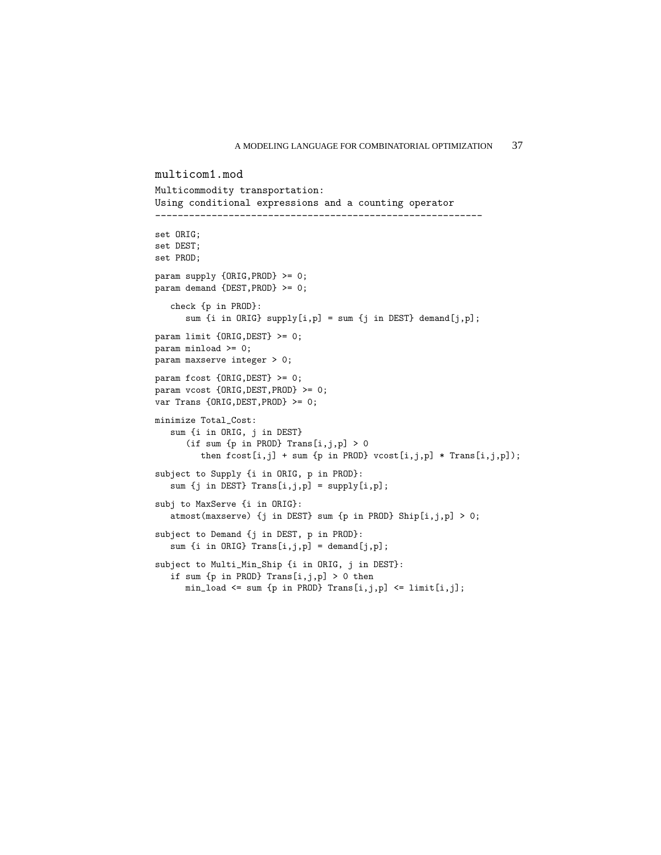```
multicom1.mod
Multicommodity transportation:
Using conditional expressions and a counting operator
----------------------------------------------------------
set ORIG;
set DEST;
set PROD;
param supply {ORIG,PROD} >= 0;
param demand {DEST,PROD} >= 0;
   check {p in PROD}:
      sum {i in ORIG} supply[i,p] = sum {j in DEST} demand[j,p];
param limit {ORIG,DEST} >= 0;
param minload >= 0;
param maxserve integer > 0;
param fcost {ORIG,DEST} >= 0;
param vcost {ORIG,DEST,PROD} >= 0;
var Trans {ORIG,DEST,PROD} >= 0;
minimize Total_Cost:
   sum {i in ORIG, j in DEST}
      (if sum {p \text{ in } PROD} Trans[i,j,p] > 0then fcost[i,j] + sum {p \text{ in } PROD} vcost[i,j,p] * Trans[i,j,p]);
subject to Supply {i in ORIG, p in PROD}:
   sum {j in DEST} Trans[i,j,p] = supply[i,p];
subj to MaxServe {i in ORIG}:
   atmost(maxserve) {j in DEST} sum {p in PROD} Ship[i,j,p] > 0;
subject to Demand {j in DEST, p in PROD}:
   sum {i in ORIG} Trans[i,j,p] = demand[j,p];
subject to Multi_Min_Ship {i in ORIG, j in DEST}:
   if sum {p in PROD} Trans[i,j,p] > 0 then
      min_load <= sum {p in PROD} Trans[i,j,p] <= limit[i,j];
```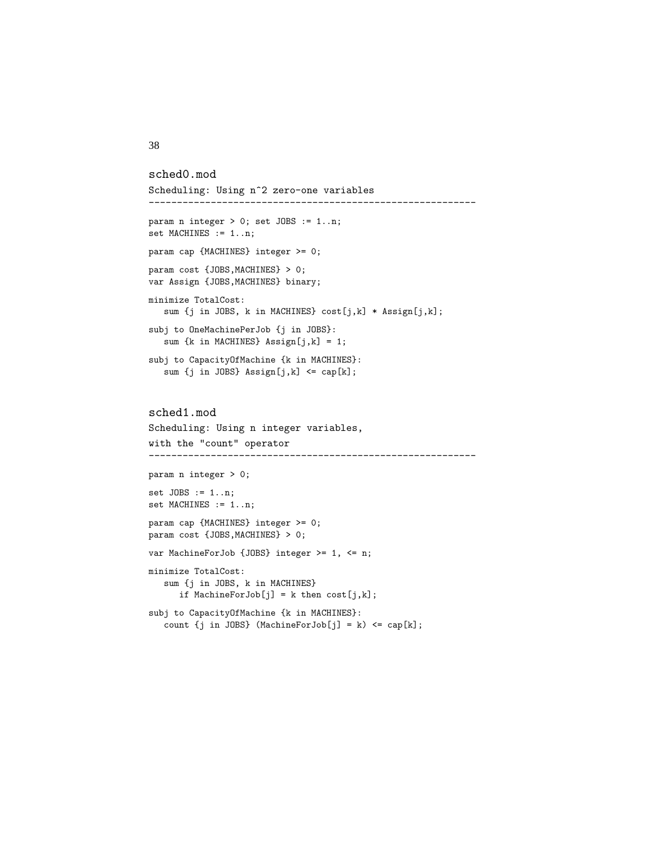```
sched0.mod
Scheduling: Using n^2 zero-one variables
----------------------------------------------------------
param n integer > 0; set JOBS := 1..n;
set MACHINES := 1..n;
param cap {MACHINES} integer >= 0;
param cost {JOBS,MACHINES} > 0;
var Assign {JOBS,MACHINES} binary;
minimize TotalCost:
   sum {j in JOBS, k in MACHINES} cost[j,k] * Assign[j,k];
subj to OneMachinePerJob {j in JOBS}:
   sum {k in MACHINES} Assign[j,k] = 1;
subj to CapacityOfMachine {k in MACHINES}:
   sum {j in JOBS} Assign[j,k] <= cap[k];
```

```
sched1.mod
```

```
Scheduling: Using n integer variables,
with the "count" operator
----------------------------------------------------------
param n integer > 0;
set JOBS := 1..n;
set MACHINES := 1..n;
param cap {MACHINES} integer >= 0;
param cost {JOBS,MACHINES} > 0;
var MachineForJob {JOBS} integer >= 1, <= n;
minimize TotalCost:
   sum {j in JOBS, k in MACHINES}
     if MachineForJob[j] = k then cost[j,k];
subj to CapacityOfMachine {k in MACHINES}:
   count \{j \text{ in JOBS}\} (MachineForJob[j] = k) <= cap[k];
```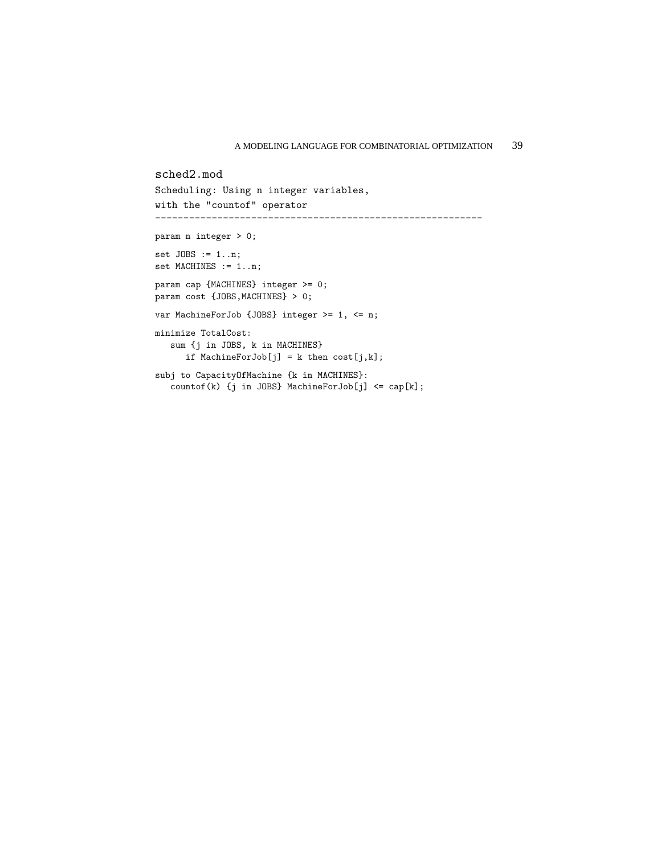```
sched2.mod
Scheduling: Using n integer variables,
with the "countof" operator
----------------------------------------------------------
param n integer > 0;
set JOBS := 1..n;
set MACHINES := 1..n;
param cap {MACHINES} integer >= 0;
param cost {JOBS,MACHINES} > 0;
var MachineForJob {JOBS} integer >= 1, <= n;
minimize TotalCost:
   sum {j in JOBS, k in MACHINES}
      if MachineForJob[j] = k then cost[j,k];
subj to CapacityOfMachine {k in MACHINES}:
   \texttt{countof(k)}~\{\texttt{j}~\texttt{in}~\texttt{J0BS}\}~\texttt{MachineForJob}[\texttt{j}]~\texttt{<=}\texttt{cap[k]}\,;
```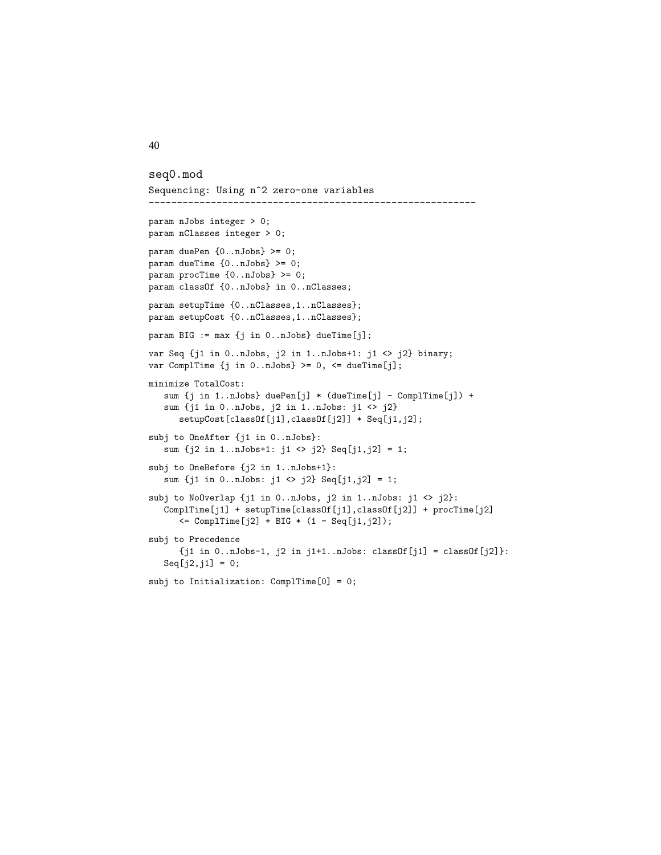```
seq0.mod
Sequencing: Using n^2 zero-one variables
----------------------------------------------------------
param nJobs integer > 0;
param nClasses integer > 0;
param duePen {0..nJobs} >= 0;
param dueTime {0..nJobs} >= 0;
param procTime {0..nJobs} >= 0;
param classOf {0..nJobs} in 0..nClasses;
param setupTime {0..nClasses,1..nClasses};
param setupCost {0..nClasses,1..nClasses};
param BIG := max {j in 0..nJobs} dueTime[j];
var Seq \{j1 in 0..nJobs, j2 in 1..nJobs+1: j1 \Leftrightarrow j2} binary;
var ComplTime \{j \text{ in } 0..nJobs\} >= 0, <= dueTime[j];
minimize TotalCost:
   sum {j in 1..nJobs} duePen[j] * (dueTime[j] - ComplTime[j]) +
   sum \{j1 in 0..nJobs, j2 in 1..nJobs: j1 \Leftrightarrow j2\}setupCost[classOf[j1],classOf[j2]] * Seq[j1,j2];
subj to OneAfter {j1 in 0..nJobs}:
   sum {j2 in 1..nJobs+1: j1 <> j2} Seq[j1,j2] = 1;
subj to OneBefore {j2 in 1..nJobs+1}:
   sum {j1 in 0..nJobs: j1 <> j2} Seq[j1,j2] = 1;
subj to NoOverlap {j1 in 0..nJobs, j2 in 1..nJobs: j1 <> j2}:
   ComplTime[j1] + setupTime[classOf[j1],classOf[j2]] + procTime[j2]
      \leq ComplTime[j2] + BIG * (1 - Seq[j1,j2]);
subj to Precedence
      {j1} in 0..nJobs-1, {j2} in {j1+1..n}Jobs: classOf[j1] = classOf[j2]:
   Seq[j2,j1] = 0;subj to Initialization: ComplTime[0] = 0;
```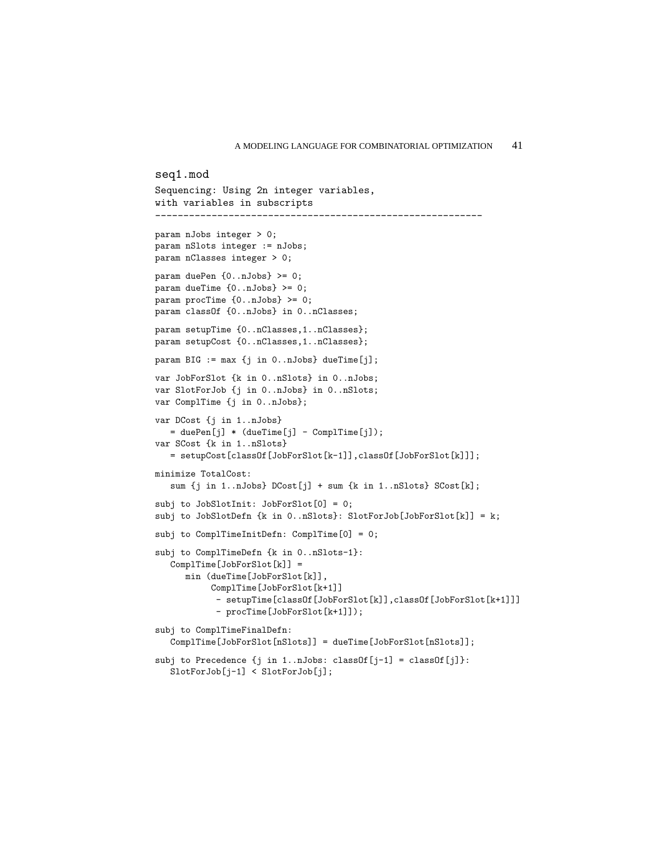```
seq1.mod
Sequencing: Using 2n integer variables,
with variables in subscripts
----------------------------------------------------------
param nJobs integer > 0;
param nSlots integer := nJobs;
param nClasses integer > 0;
param duePen {0..nJobs} >= 0;
param dueTime {0..nJobs} >= 0;
param procTime {0..nJobs} >= 0;
param classOf {0..nJobs} in 0..nClasses;
param setupTime {0..nClasses,1..nClasses};
param setupCost {0..nClasses,1..nClasses};
param BIG := max {j in 0..nJobs} dueTime[j];
var JobForSlot {k in 0..nSlots} in 0..nJobs;
var SlotForJob {j in 0..nJobs} in 0..nSlots;
var ComplTime {j in 0..nJobs};
var DCost {j in 1..nJobs}
   = duePen[j] * (dueTime[j] - ComplTime[j]);
var SCost {k in 1..nSlots}
   = setupCost[classOf[JobForSlot[k-1]],classOf[JobForSlot[k]]];
minimize TotalCost:
   sum {j in 1..nJobs} DCost[j] + sum {k in 1..nSlots} SCost[k];
subj to JobSlotInit: JobForSlot[0] = 0;
subj to JobSlotDefn {k in 0..nSlots}: SlotForJob[JobForSlot[k]] = k;
subj to ComplTimeInitDefn: ComplTime[0] = 0;
subj to ComplTimeDefn {k in 0..nSlots-1}:
   ComplTime[JobForSlot[k]] =
      min (dueTime[JobForSlot[k]],
           ComplTime[JobForSlot[k+1]]
            - setupTime[classOf[JobForSlot[k]],classOf[JobForSlot[k+1]]]
            - procTime[JobForSlot[k+1]]);
subj to ComplTimeFinalDefn:
   ComplTime[JobForSlot[nSlots]] = dueTime[JobForSlot[nSlots]];
subj to Precedence \{j \text{ in } 1..nJobs: \text{ classOf}[j-1] = \text{classOf}[j]\}:
   SlotForJob[j-1] < SlotForJob[j];
```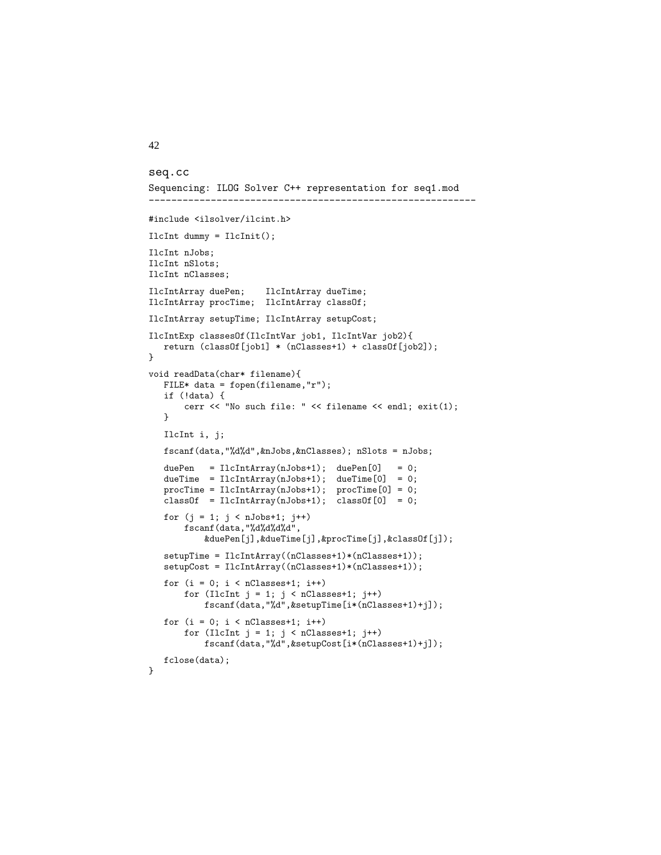```
seq.cc
Sequencing: ILOG Solver C++ representation for seq1.mod
----------------------------------------------------------
#include <ilsolver/ilcint.h>
IlcInt dummy = IlcInit();
IlcInt nJobs;
IlcInt nSlots;
IlcInt nClasses;
IlcIntArray duePen; IlcIntArray dueTime;
IlcIntArray procTime; IlcIntArray classOf;
IlcIntArray setupTime; IlcIntArray setupCost;
IlcIntExp classesOf(IlcIntVar job1, IlcIntVar job2){
   return (classOf[job1] * (nClasses+1) + classOf[job2]);
}
void readData(char* filename){
  FILE* data = fopen(filename,"r");
   if (!data) {
      cerr << "No such file: " << filename << endl; exit(1);
   }
  IlcInt i, j;
   fscanf(data,"%d%d",&nJobs,&nClasses); nSlots = nJobs;
   duePen = IlcIntArray(nJobs+1); duePen[0] = 0;
   dueTime = IlcIntArray(nJobs+1); dueTime[0] = 0;
   procTime = IlcIntArray(nJobs+1); procTime[0] = 0;
   classOf = IlclntArray(nJobs+1); classOf[0] = 0;for (j = 1; j < nJobs+1; j++)fscanf(data,"%d%d%d%d",
          &duePen[j],&dueTime[j],&procTime[j],&classOf[j]);
   setupTime = IlcIntArray((nClasses+1)*(nClasses+1));
   setupCost = IlcIntArray((nClasses+1)*(nClasses+1));
   for (i = 0; i < nClasses+1; i++)for (IlcInt j = 1; j < nClasses+1; j++)
          fscanf(data,"%d",&setupTime[i*(nClasses+1)+j]);
   for (i = 0; i < nClasses+1; i++)for (IlcInt j = 1; j < nClasses+1; j++)
           fscanf(data,"%d",&setupCost[i*(nClasses+1)+j]);
   fclose(data);
}
```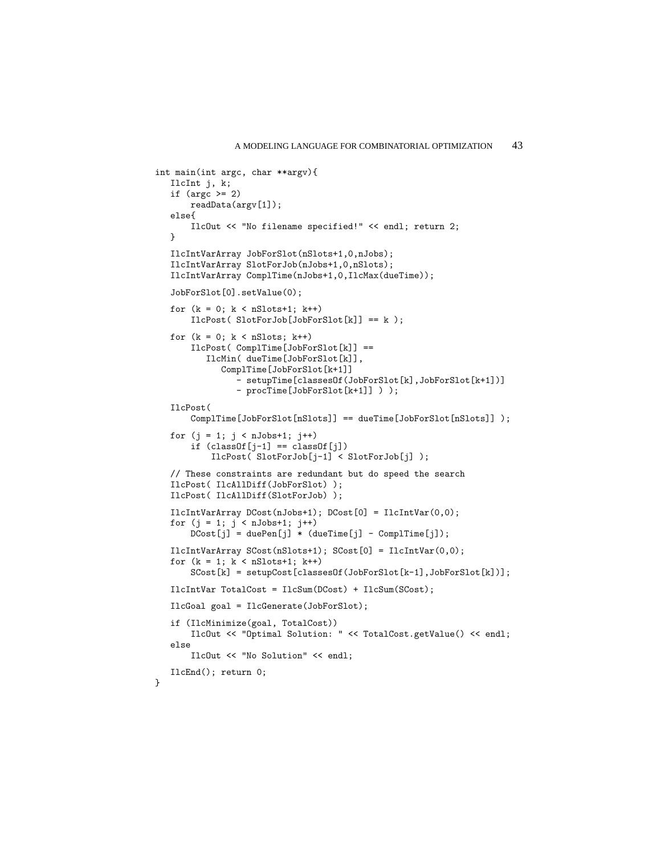```
int main(int argc, char **argv){
   IlcInt j, k;
   if (\text{argc} > = 2)readData(argv[1]);
   else{
       IlcOut << "No filename specified!" << endl; return 2;
   }
   IlcIntVarArray JobForSlot(nSlots+1,0,nJobs);
   IlcIntVarArray SlotForJob(nJobs+1,0,nSlots);
   IlcIntVarArray ComplTime(nJobs+1,0,IlcMax(dueTime));
   JobForSlot[0].setValue(0);
   for (k = 0; k < nSlots+1; k++)
       IlcPost( SlotForJob[JobForSlot[k]] == k );
   for (k = 0; k < nSlots; k++)
       IlcPost( ComplTime[JobForSlot[k]] ==
          IlcMin( dueTime[JobForSlot[k]],
             ComplTime[JobForSlot[k+1]]
                - setupTime[classesOf(JobForSlot[k],JobForSlot[k+1])]
                - procTime[JobForSlot[k+1]] ) );
   IlcPost(
       ComplTime[JobForSlot[nSlots]] == dueTime[JobForSlot[nSlots]] );
   for (j = 1; j < nJobs+1; j++)if (classOf[j-1] == classOf[j])IlcPost( SlotForJob[j-1] < SlotForJob[j] );
   // These constraints are redundant but do speed the search
   IlcPost( IlcAllDiff(JobForSlot) );
   IlcPost( IlcAllDiff(SlotForJob) );
   IlcIntVarArray DCost(nJobs+1); DCost[0] = IlcIntVar(0,0);
   for (j = 1; j < nJobs+1; j++)DCost[j] = duePen[j] * (dueTime[j] - ComplTime[j]);IlcIntVarArray SCost(nSlots+1); SCost[0] = IlcIntVar(0,0);
   for (k = 1; k < nSlots+1; k++)
       SCost[k] = setupCost[classesOf(JobForSlot[k-1],JobForSlot[k])];
   IlcIntVar TotalCost = IlcSum(DCost) + IlcSum(SCost);
   IlcGoal goal = IlcGenerate(JobForSlot);
   if (IlcMinimize(goal, TotalCost))
       IlcOut << "Optimal Solution: " << TotalCost.getValue() << endl;
   else
       IlcOut << "No Solution" << endl;
   IlcEnd(); return 0;
```
}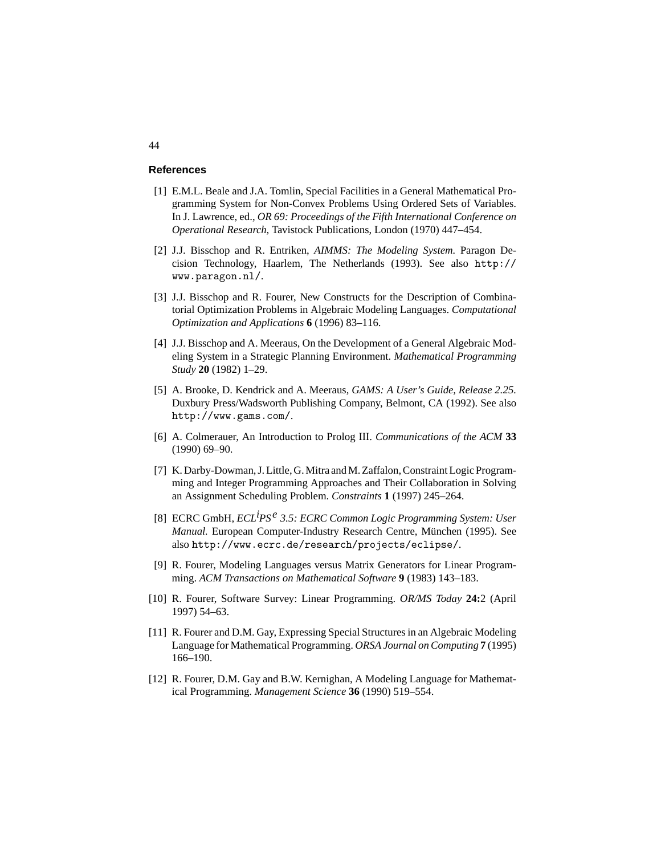## **References**

- [1] E.M.L. Beale and J.A. Tomlin, Special Facilities in a General Mathematical Programming System for Non-Convex Problems Using Ordered Sets of Variables. In J. Lawrence, ed., *OR 69: Proceedings of the Fifth International Conference on Operational Research,* Tavistock Publications, London (1970) 447–454.
- [2] J.J. Bisschop and R. Entriken, *AIMMS: The Modeling System.* Paragon Decision Technology, Haarlem, The Netherlands (1993). See also http:// www.paragon.nl/.
- [3] J.J. Bisschop and R. Fourer, New Constructs for the Description of Combinatorial Optimization Problems in Algebraic Modeling Languages. *Computational Optimization and Applications* **6** (1996) 83–116.
- [4] J.J. Bisschop and A. Meeraus, On the Development of a General Algebraic Modeling System in a Strategic Planning Environment. *Mathematical Programming Study* **20** (1982) 1–29.
- [5] A. Brooke, D. Kendrick and A. Meeraus, *GAMS: A User's Guide, Release 2.25.* Duxbury Press/Wadsworth Publishing Company, Belmont, CA (1992). See also http://www.gams.com/.
- [6] A. Colmerauer, An Introduction to Prolog III. *Communications of the ACM* **33** (1990) 69–90.
- [7] K. Darby-Dowman, J. Little, G. Mitra and M. Zaffalon, Constraint Logic Programming and Integer Programming Approaches and Their Collaboration in Solving an Assignment Scheduling Problem. *Constraints* **1** (1997) 245–264.
- [8] ECRC GmbH, *ECLi PSe 3.5: ECRC Common Logic Programming System: User Manual.* European Computer-Industry Research Centre, München (1995). See also http://www.ecrc.de/research/projects/eclipse/.
- [9] R. Fourer, Modeling Languages versus Matrix Generators for Linear Programming. *ACM Transactions on Mathematical Software* **9** (1983) 143–183.
- [10] R. Fourer, Software Survey: Linear Programming. *OR/MS Today* **24:**2 (April 1997) 54–63.
- [11] R. Fourer and D.M. Gay, Expressing Special Structures in an Algebraic Modeling Language for Mathematical Programming. *ORSA Journal on Computing* **7** (1995) 166–190.
- [12] R. Fourer, D.M. Gay and B.W. Kernighan, A Modeling Language for Mathematical Programming. *Management Science* **36** (1990) 519–554.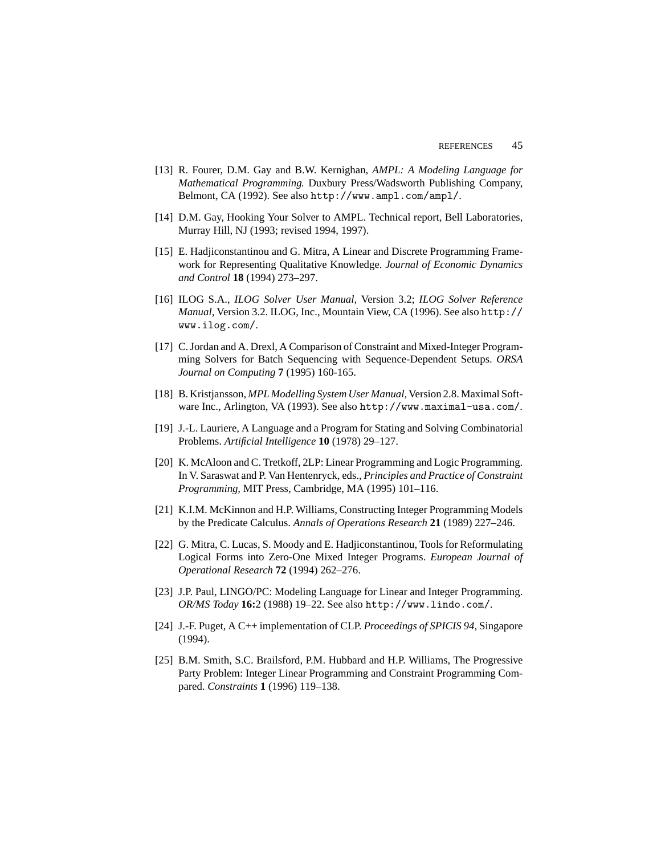- [13] R. Fourer, D.M. Gay and B.W. Kernighan, *AMPL: A Modeling Language for Mathematical Programming.* Duxbury Press/Wadsworth Publishing Company, Belmont, CA (1992). See also http://www.ampl.com/ampl/.
- [14] D.M. Gay, Hooking Your Solver to AMPL. Technical report, Bell Laboratories, Murray Hill, NJ (1993; revised 1994, 1997).
- [15] E. Hadjiconstantinou and G. Mitra, A Linear and Discrete Programming Framework for Representing Qualitative Knowledge. *Journal of Economic Dynamics and Control* **18** (1994) 273–297.
- [16] ILOG S.A., *ILOG Solver User Manual,* Version 3.2; *ILOG Solver Reference Manual,* Version 3.2. ILOG, Inc., Mountain View, CA (1996). See also http:// www.ilog.com/.
- [17] C. Jordan and A. Drexl, A Comparison of Constraint and Mixed-Integer Programming Solvers for Batch Sequencing with Sequence-Dependent Setups. *ORSA Journal on Computing* **7** (1995) 160-165.
- [18] B. Kristjansson, *MPL Modelling System User Manual,* Version 2.8. Maximal Software Inc., Arlington, VA (1993). See also http://www.maximal-usa.com/.
- [19] J.-L. Lauriere, A Language and a Program for Stating and Solving Combinatorial Problems. *Artificial Intelligence* **10** (1978) 29–127.
- [20] K. McAloon and C. Tretkoff, 2LP: Linear Programming and Logic Programming. In V. Saraswat and P. Van Hentenryck, eds., *Principles and Practice of Constraint Programming,* MIT Press, Cambridge, MA (1995) 101–116.
- [21] K.I.M. McKinnon and H.P. Williams, Constructing Integer Programming Models by the Predicate Calculus. *Annals of Operations Research* **21** (1989) 227–246.
- [22] G. Mitra, C. Lucas, S. Moody and E. Hadjiconstantinou, Tools for Reformulating Logical Forms into Zero-One Mixed Integer Programs. *European Journal of Operational Research* **72** (1994) 262–276.
- [23] J.P. Paul, LINGO/PC: Modeling Language for Linear and Integer Programming. *OR/MS Today* **16:**2 (1988) 19–22. See also http://www.lindo.com/.
- [24] J.-F. Puget, A C++ implementation of CLP. *Proceedings of SPICIS 94,* Singapore (1994).
- [25] B.M. Smith, S.C. Brailsford, P.M. Hubbard and H.P. Williams, The Progressive Party Problem: Integer Linear Programming and Constraint Programming Compared. *Constraints* **1** (1996) 119–138.